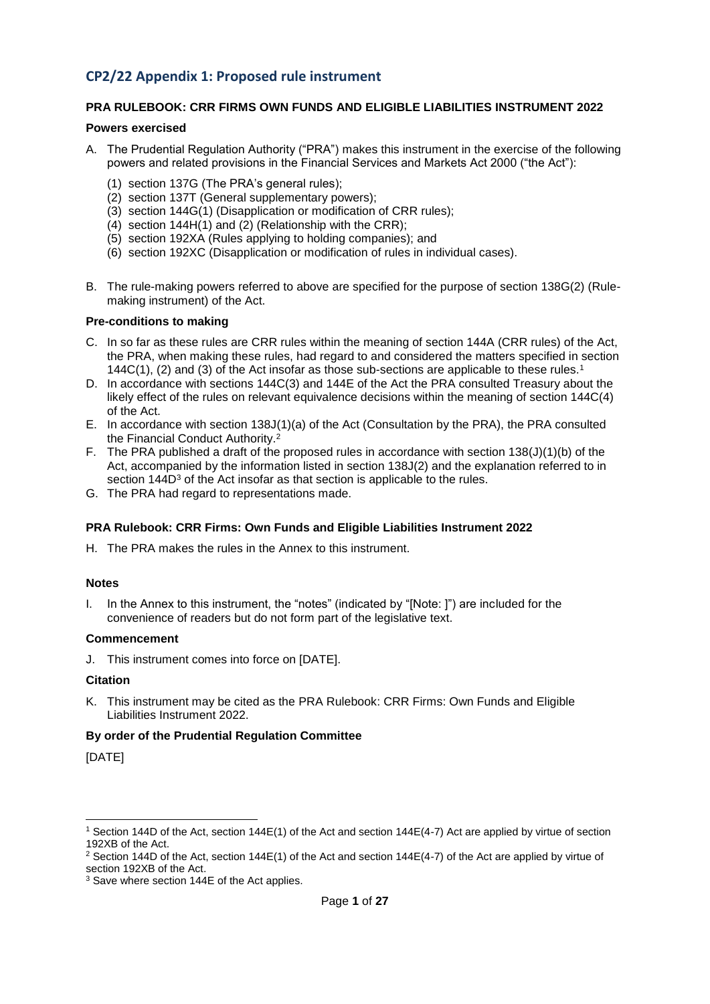#### **CP2/22 Appendix 1: Proposed rule instrument**

#### **PRA RULEBOOK: CRR FIRMS OWN FUNDS AND ELIGIBLE LIABILITIES INSTRUMENT 2022**

#### **Powers exercised**

- A. The Prudential Regulation Authority ("PRA") makes this instrument in the exercise of the following powers and related provisions in the Financial Services and Markets Act 2000 ("the Act"):
	- (1) section 137G (The PRA's general rules);
	- (2) section 137T (General supplementary powers);
	- (3) section 144G(1) (Disapplication or modification of CRR rules);
	- (4) section 144H(1) and (2) (Relationship with the CRR);
	- (5) section 192XA (Rules applying to holding companies); and
	- (6) section 192XC (Disapplication or modification of rules in individual cases).
- B. The rule-making powers referred to above are specified for the purpose of section 138G(2) (Rulemaking instrument) of the Act.

#### **Pre-conditions to making**

- C. In so far as these rules are CRR rules within the meaning of section 144A (CRR rules) of the Act, the PRA, when making these rules, had regard to and considered the matters specified in section 144C(1), (2) and (3) of the Act insofar as those sub-sections are applicable to these rules.<sup>1</sup>
- D. In accordance with sections 144C(3) and 144E of the Act the PRA consulted Treasury about the likely effect of the rules on relevant equivalence decisions within the meaning of section 144C(4) of the Act.
- E. In accordance with section 138J(1)(a) of the Act (Consultation by the PRA), the PRA consulted the Financial Conduct Authority. 2
- F. The PRA published a draft of the proposed rules in accordance with section 138(J)(1)(b) of the Act, accompanied by the information listed in section 138J(2) and the explanation referred to in section 144D<sup>3</sup> of the Act insofar as that section is applicable to the rules.
- G. The PRA had regard to representations made.

#### **PRA Rulebook: CRR Firms: Own Funds and Eligible Liabilities Instrument 2022**

H. The PRA makes the rules in the Annex to this instrument.

#### **Notes**

I. In the Annex to this instrument, the "notes" (indicated by "[Note: ]") are included for the convenience of readers but do not form part of the legislative text.

#### **Commencement**

J. This instrument comes into force on [DATE].

#### **Citation**

K. This instrument may be cited as the PRA Rulebook: CRR Firms: Own Funds and Eligible Liabilities Instrument 2022.

#### **By order of the Prudential Regulation Committee**

[DATE]

-

<sup>1</sup> Section 144D of the Act, section 144E(1) of the Act and section 144E(4-7) Act are applied by virtue of section 192XB of the Act.

<sup>&</sup>lt;sup>2</sup> Section 144D of the Act, section 144E(1) of the Act and section 144E(4-7) of the Act are applied by virtue of section 192XB of the Act.

<sup>&</sup>lt;sup>3</sup> Save where section 144E of the Act applies.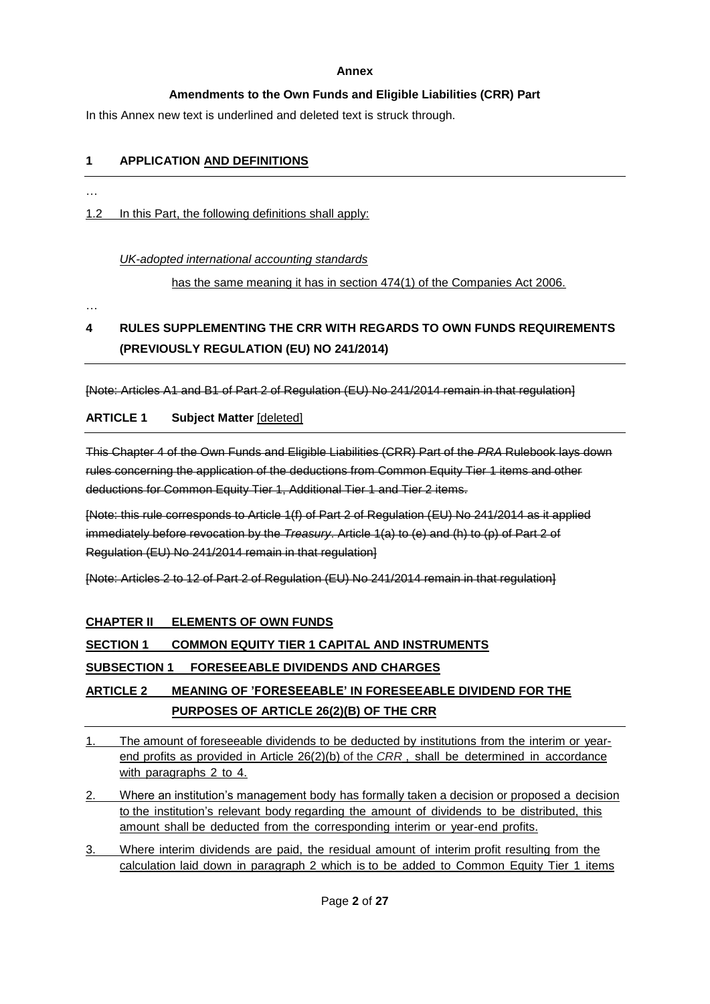#### **Annex**

#### **Amendments to the Own Funds and Eligible Liabilities (CRR) Part**

In this Annex new text is underlined and deleted text is struck through.

#### **1 APPLICATION AND DEFINITIONS**

…

1.2 In this Part, the following definitions shall apply:

#### *UK-adopted international accounting standards*

has the same meaning it has in section 474(1) of the Companies Act 2006.

…

## **4 RULES SUPPLEMENTING THE CRR WITH REGARDS TO OWN FUNDS REQUIREMENTS (PREVIOUSLY REGULATION (EU) NO 241/2014)**

[Note: Articles A1 and B1 of Part 2 of Regulation (EU) No 241/2014 remain in that regulation]

#### **ARTICLE 1 Subject Matter** [deleted]

This Chapter 4 of the Own Funds and Eligible Liabilities (CRR) Part of the *PRA* Rulebook lays down rules concerning the application of the deductions from Common Equity Tier 1 items and other deductions for Common Equity Tier 1, Additional Tier 1 and Tier 2 items.

[Note: this rule corresponds to Article 1(f) of Part 2 of Regulation (EU) No 241/2014 as it applied immediately before revocation by the *Treasury*. Article 1(a) to (e) and (h) to (p) of Part 2 of Regulation (EU) No 241/2014 remain in that regulation]

[Note: Articles 2 to 12 of Part 2 of Regulation (EU) No 241/2014 remain in that regulation]

### **CHAPTER II ELEMENTS OF OWN FUNDS**

### **SECTION 1 COMMON EQUITY TIER 1 CAPITAL AND INSTRUMENTS**

### **SUBSECTION 1 FORESEEABLE DIVIDENDS AND CHARGES**

### **ARTICLE 2 MEANING OF 'FORESEEABLE' IN FORESEEABLE DIVIDEND FOR THE PURPOSES OF ARTICLE 26(2)(B) OF THE CRR**

- 1. The amount of foreseeable dividends to be deducted by institutions from the interim or yearend profits as provided in Article 26(2)(b) of the *CRR* , shall be determined in accordance with paragraphs 2 to 4.
- 2. Where an institution's management body has formally taken a decision or proposed a decision to the institution's relevant body regarding the amount of dividends to be distributed, this amount shall be deducted from the corresponding interim or year-end profits.
- 3. Where interim dividends are paid, the residual amount of interim profit resulting from the calculation laid down in paragraph 2 which is to be added to Common Equity Tier 1 items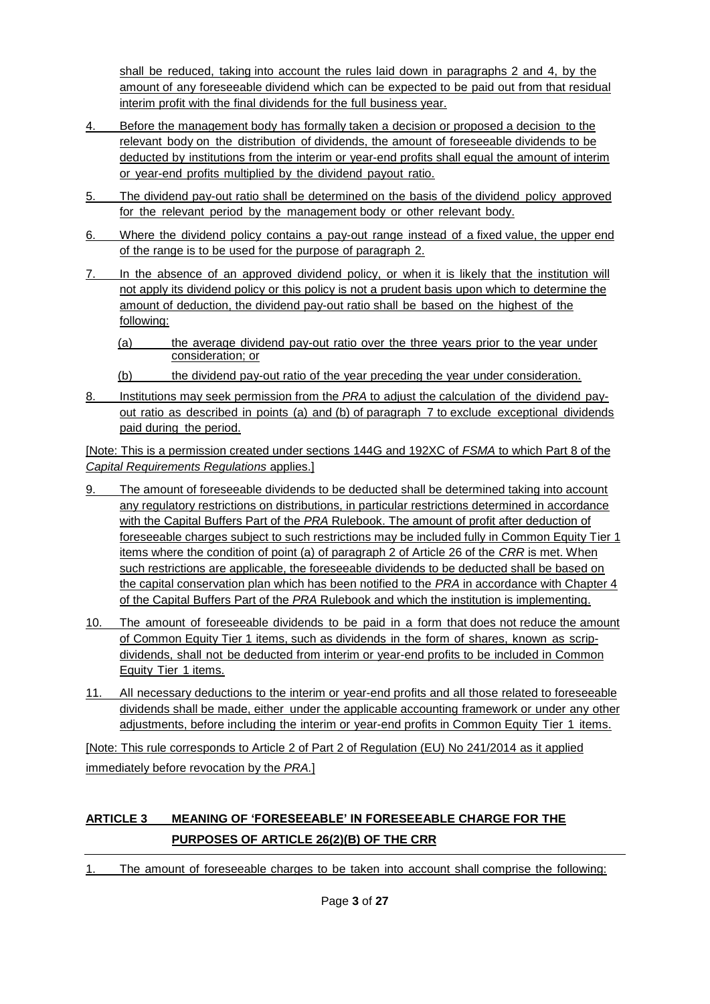shall be reduced, taking into account the rules laid down in paragraphs 2 and 4, by the amount of any foreseeable dividend which can be expected to be paid out from that residual interim profit with the final dividends for the full business year.

- 4. Before the management body has formally taken a decision or proposed a decision to the relevant body on the distribution of dividends, the amount of foreseeable dividends to be deducted by institutions from the interim or year-end profits shall equal the amount of interim or year-end profits multiplied by the dividend payout ratio.
- 5. The dividend pay-out ratio shall be determined on the basis of the dividend policy approved for the relevant period by the management body or other relevant body.
- 6. Where the dividend policy contains a pay-out range instead of a fixed value, the upper end of the range is to be used for the purpose of paragraph 2.
- 7. In the absence of an approved dividend policy, or when it is likely that the institution will not apply its dividend policy or this policy is not a prudent basis upon which to determine the amount of deduction, the dividend pay-out ratio shall be based on the highest of the following:
	- (a) the average dividend pay-out ratio over the three years prior to the year under consideration; or
	- (b) the dividend pay-out ratio of the year preceding the year under consideration.
- 8. Institutions may seek permission from the *PRA* to adjust the calculation of the dividend payout ratio as described in points (a) and (b) of paragraph 7 to exclude exceptional dividends paid during the period.

[Note: This is a permission created under sections 144G and 192XC of *FSMA* to which Part 8 of the *Capital Requirements Regulations* applies.]

- 9. The amount of foreseeable dividends to be deducted shall be determined taking into account any regulatory restrictions on distributions, in particular restrictions determined in accordance with the Capital Buffers Part of the *PRA* Rulebook. The amount of profit after deduction of foreseeable charges subject to such restrictions may be included fully in Common Equity Tier 1 items where the condition of point (a) of paragraph 2 of Article 26 of the *CRR* is met. When such restrictions are applicable, the foreseeable dividends to be deducted shall be based on the capital conservation plan which has been notified to the *PRA* in accordance with Chapter 4 of the Capital Buffers Part of the *PRA* Rulebook and which the institution is implementing.
- 10. The amount of foreseeable dividends to be paid in a form that does not reduce the amount of Common Equity Tier 1 items, such as dividends in the form of shares, known as scripdividends, shall not be deducted from interim or year-end profits to be included in Common Equity Tier 1 items.
- 11. All necessary deductions to the interim or year-end profits and all those related to foreseeable dividends shall be made, either under the applicable accounting framework or under any other adjustments, before including the interim or year-end profits in Common Equity Tier 1 items.

[Note: This rule corresponds to Article 2 of Part 2 of Regulation (EU) No 241/2014 as it applied immediately before revocation by the *PRA.*]

# **ARTICLE 3 MEANING OF 'FORESEEABLE' IN FORESEEABLE CHARGE FOR THE PURPOSES OF ARTICLE 26(2)(B) OF THE CRR**

1. The amount of foreseeable charges to be taken into account shall comprise the following: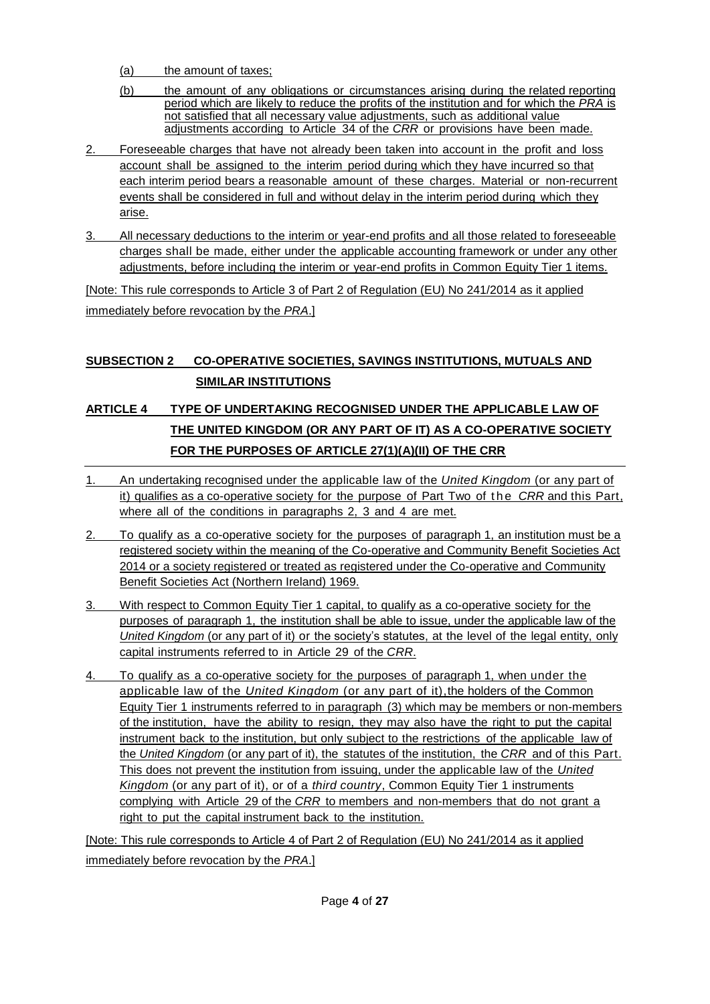- (a) the amount of taxes;
- (b) the amount of any obligations or circumstances arising during the related reporting period which are likely to reduce the profits of the institution and for which the *PRA* is not satisfied that all necessary value adjustments, such as additional value adjustments according to Article 34 of the *CRR* or provisions have been made.
- 2. Foreseeable charges that have not already been taken into account in the profit and loss account shall be assigned to the interim period during which they have incurred so that each interim period bears a reasonable amount of these charges. Material or non-recurrent events shall be considered in full and without delay in the interim period during which they arise.
- 3. All necessary deductions to the interim or year-end profits and all those related to foreseeable charges shall be made, either under the applicable accounting framework or under any other adjustments, before including the interim or year-end profits in Common Equity Tier 1 items.

[Note: This rule corresponds to Article 3 of Part 2 of Regulation (EU) No 241/2014 as it applied immediately before revocation by the *PRA*.]

# **SUBSECTION 2 CO-OPERATIVE SOCIETIES, SAVINGS INSTITUTIONS, MUTUALS AND SIMILAR INSTITUTIONS**

# **ARTICLE 4 TYPE OF UNDERTAKING RECOGNISED UNDER THE APPLICABLE LAW OF THE UNITED KINGDOM (OR ANY PART OF IT) AS A CO-OPERATIVE SOCIETY FOR THE PURPOSES OF ARTICLE 27(1)(A)(II) OF THE CRR**

- 1. An undertaking recognised under the applicable law of the *United Kingdom* (or any part of it) qualifies as a co-operative society for the purpose of Part Two of the *CRR* and this Part, where all of the conditions in paragraphs 2, 3 and 4 are met.
- 2. To qualify as a co-operative society for the purposes of paragraph 1, an institution must be a registered society within the meaning of the Co-operative and Community Benefit Societies Act 2014 or a society registered or treated as registered under the Co-operative and Community Benefit Societies Act (Northern Ireland) 1969.
- 3. With respect to Common Equity Tier 1 capital, to qualify as a co-operative society for the purposes of paragraph 1, the institution shall be able to issue, under the applicable law of the *United Kingdom* (or any part of it) or the society's statutes, at the level of the legal entity, only capital instruments referred to in Article 29 of the *CRR*.
- 4. To qualify as a co-operative society for the purposes of paragraph 1, when under the applicable law of the *United Kingdom* (or any part of it),the holders of the Common Equity Tier 1 instruments referred to in paragraph (3) which may be members or non-members of the institution, have the ability to resign, they may also have the right to put the capital instrument back to the institution, but only subject to the restrictions of the applicable law of the *United Kingdom* (or any part of it), the statutes of the institution, the *CRR* and of this Part. This does not prevent the institution from issuing, under the applicable law of the *United Kingdom* (or any part of it), or of a *third country*, Common Equity Tier 1 instruments complying with Article 29 of the *CRR* to members and non-members that do not grant a right to put the capital instrument back to the institution.

[Note: This rule corresponds to Article 4 of Part 2 of Regulation (EU) No 241/2014 as it applied immediately before revocation by the *PRA*.]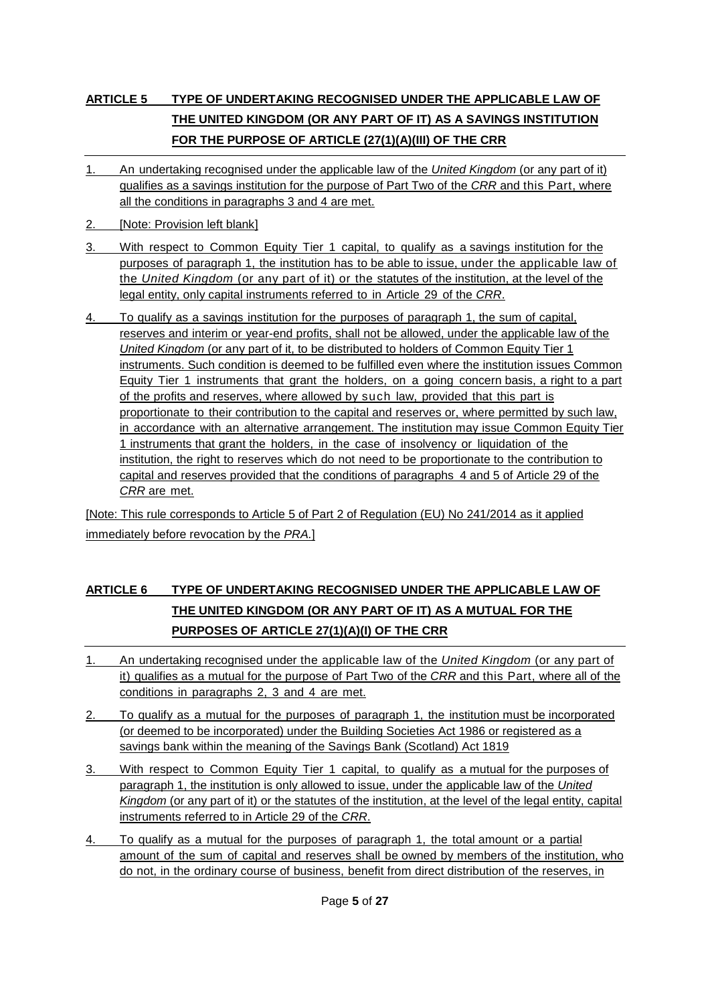# **ARTICLE 5 TYPE OF UNDERTAKING RECOGNISED UNDER THE APPLICABLE LAW OF THE UNITED KINGDOM (OR ANY PART OF IT) AS A SAVINGS INSTITUTION FOR THE PURPOSE OF ARTICLE (27(1)(A)(III) OF THE CRR**

- 1. An undertaking recognised under the applicable law of the *United Kingdom* (or any part of it) qualifies as a savings institution for the purpose of Part Two of the *CRR* and this Part, where all the conditions in paragraphs 3 and 4 are met.
- 2. **[Note: Provision left blank]**
- 3. With respect to Common Equity Tier 1 capital, to qualify as a savings institution for the purposes of paragraph 1, the institution has to be able to issue, under the applicable law of the *United Kingdom* (or any part of it) or the statutes of the institution, at the level of the legal entity, only capital instruments referred to in Article 29 of the *CRR*.
- 4. To qualify as a savings institution for the purposes of paragraph 1, the sum of capital, reserves and interim or year-end profits, shall not be allowed, under the applicable law of the *United Kingdom* (or any part of it, to be distributed to holders of Common Equity Tier 1 instruments. Such condition is deemed to be fulfilled even where the institution issues Common Equity Tier 1 instruments that grant the holders, on a going concern basis, a right to a part of the profits and reserves, where allowed by such law, provided that this part is proportionate to their contribution to the capital and reserves or, where permitted by such law, in accordance with an alternative arrangement. The institution may issue Common Equity Tier 1 instruments that grant the holders, in the case of insolvency or liquidation of the institution, the right to reserves which do not need to be proportionate to the contribution to capital and reserves provided that the conditions of paragraphs 4 and 5 of Article 29 of the *CRR* are met.

[Note: This rule corresponds to Article 5 of Part 2 of Regulation (EU) No 241/2014 as it applied immediately before revocation by the *PRA.*]

# **ARTICLE 6 TYPE OF UNDERTAKING RECOGNISED UNDER THE APPLICABLE LAW OF THE UNITED KINGDOM (OR ANY PART OF IT) AS A MUTUAL FOR THE PURPOSES OF ARTICLE 27(1)(A)(I) OF THE CRR**

- 1. An undertaking recognised under the applicable law of the *United Kingdom* (or any part of it) qualifies as a mutual for the purpose of Part Two of the *CRR* and this Part, where all of the conditions in paragraphs 2, 3 and 4 are met.
- 2. To qualify as a mutual for the purposes of paragraph 1, the institution must be incorporated (or deemed to be incorporated) under the Building Societies Act 1986 or registered as a savings bank within the meaning of the Savings Bank (Scotland) Act 1819
- 3. With respect to Common Equity Tier 1 capital, to qualify as a mutual for the purposes of paragraph 1, the institution is only allowed to issue, under the applicable law of the *United Kingdom* (or any part of it) or the statutes of the institution, at the level of the legal entity, capital instruments referred to in Article 29 of the *CRR*.
- 4. To qualify as a mutual for the purposes of paragraph 1, the total amount or a partial amount of the sum of capital and reserves shall be owned by members of the institution, who do not, in the ordinary course of business, benefit from direct distribution of the reserves, in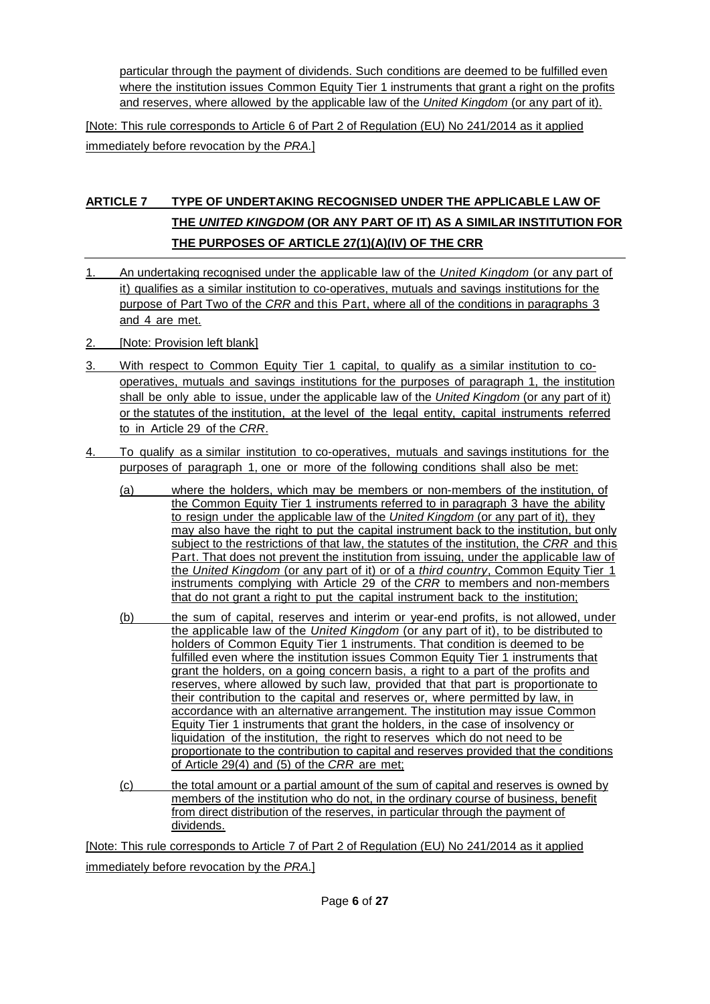particular through the payment of dividends. Such conditions are deemed to be fulfilled even where the institution issues Common Equity Tier 1 instruments that grant a right on the profits and reserves, where allowed by the applicable law of the *United Kingdom* (or any part of it).

[Note: This rule corresponds to Article 6 of Part 2 of Regulation (EU) No 241/2014 as it applied immediately before revocation by the *PRA.*]

# **ARTICLE 7 TYPE OF UNDERTAKING RECOGNISED UNDER THE APPLICABLE LAW OF THE** *UNITED KINGDOM* **(OR ANY PART OF IT) AS A SIMILAR INSTITUTION FOR THE PURPOSES OF ARTICLE 27(1)(A)(IV) OF THE CRR**

- 1. An undertaking recognised under the applicable law of the *United Kingdom* (or any part of it) qualifies as a similar institution to co-operatives, mutuals and savings institutions for the purpose of Part Two of the *CRR* and this Part, where all of the conditions in paragraphs 3 and 4 are met.
- 2. [Note: Provision left blank]
- 3. With respect to Common Equity Tier 1 capital, to qualify as a similar institution to cooperatives, mutuals and savings institutions for the purposes of paragraph 1, the institution shall be only able to issue, under the applicable law of the *United Kingdom* (or any part of it) or the statutes of the institution, at the level of the legal entity, capital instruments referred to in Article 29 of the *CRR*.
- 4. To qualify as a similar institution to co-operatives, mutuals and savings institutions for the purposes of paragraph 1, one or more of the following conditions shall also be met:
	- (a) where the holders, which may be members or non-members of the institution, of the Common Equity Tier 1 instruments referred to in paragraph 3 have the ability to resign under the applicable law of the *United Kingdom* (or any part of it), they may also have the right to put the capital instrument back to the institution, but only subject to the restrictions of that law, the statutes of the institution, the *CRR* and this Part. That does not prevent the institution from issuing, under the applicable law of the *United Kingdom* (or any part of it) or of a *third country*, Common Equity Tier 1 instruments complying with Article 29 of the *CRR* to members and non-members that do not grant a right to put the capital instrument back to the institution;
	- (b) the sum of capital, reserves and interim or year-end profits, is not allowed, under the applicable law of the *United Kingdom* (or any part of it), to be distributed to holders of Common Equity Tier 1 instruments. That condition is deemed to be fulfilled even where the institution issues Common Equity Tier 1 instruments that grant the holders, on a going concern basis, a right to a part of the profits and reserves, where allowed by such law, provided that that part is proportionate to their contribution to the capital and reserves or, where permitted by law, in accordance with an alternative arrangement. The institution may issue Common Equity Tier 1 instruments that grant the holders, in the case of insolvency or liquidation of the institution, the right to reserves which do not need to be proportionate to the contribution to capital and reserves provided that the conditions of Article 29(4) and (5) of the *CRR* are met;
	- (c) the total amount or a partial amount of the sum of capital and reserves is owned by members of the institution who do not, in the ordinary course of business, benefit from direct distribution of the reserves, in particular through the payment of dividends.

[Note: This rule corresponds to Article 7 of Part 2 of Regulation (EU) No 241/2014 as it applied

immediately before revocation by the *PRA.*]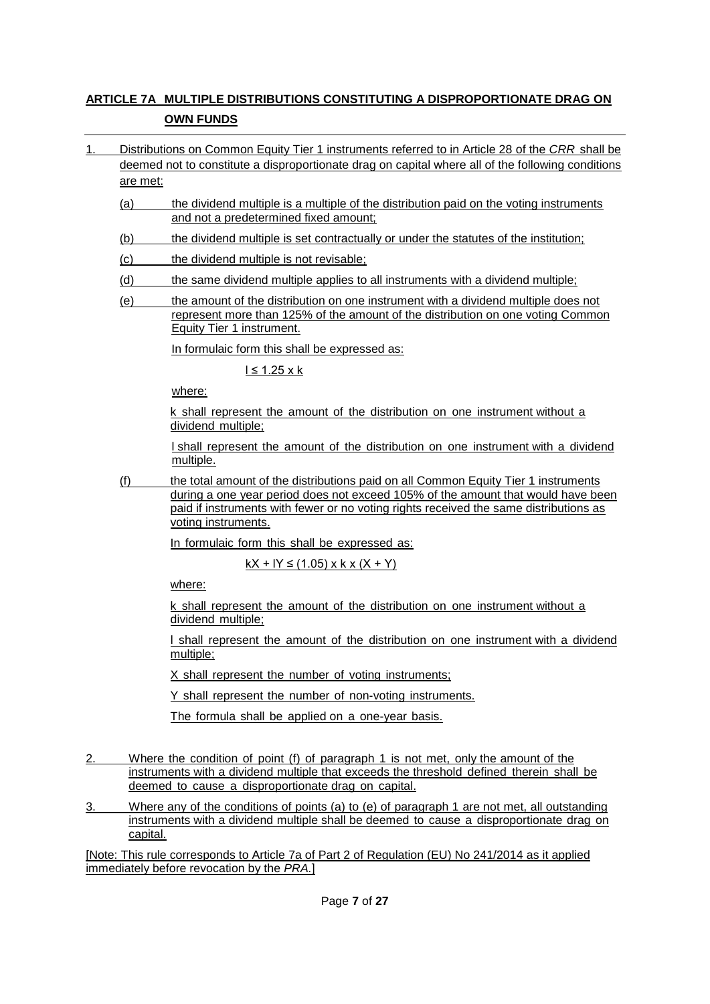#### **ARTICLE 7A MULTIPLE DISTRIBUTIONS CONSTITUTING A DISPROPORTIONATE DRAG ON OWN FUNDS**

- 1. Distributions on Common Equity Tier 1 instruments referred to in Article 28 of the *CRR* shall be deemed not to constitute a disproportionate drag on capital where all of the following conditions are met:
	- (a) the dividend multiple is a multiple of the distribution paid on the voting instruments and not a predetermined fixed amount;
	- (b) the dividend multiple is set contractually or under the statutes of the institution;
	- (c) the dividend multiple is not revisable;
	- (d) the same dividend multiple applies to all instruments with a dividend multiple;
	- (e) the amount of the distribution on one instrument with a dividend multiple does not represent more than 125% of the amount of the distribution on one voting Common Equity Tier 1 instrument.

In formulaic form this shall be expressed as:

 $l \leq 1.25 \times k$ 

where:

k shall represent the amount of the distribution on one instrument without a dividend multiple;

l shall represent the amount of the distribution on one instrument with a dividend multiple.

(f) the total amount of the distributions paid on all Common Equity Tier 1 instruments during a one year period does not exceed 105% of the amount that would have been paid if instruments with fewer or no voting rights received the same distributions as voting instruments.

In formulaic form this shall be expressed as:

 $kX + IY \le (1.05) \times k \times (X + Y)$ 

where:

k shall represent the amount of the distribution on one instrument without a dividend multiple;

l shall represent the amount of the distribution on one instrument with a dividend multiple;

X shall represent the number of voting instruments;

Y shall represent the number of non-voting instruments.

The formula shall be applied on a one-year basis.

- 2. Where the condition of point (f) of paragraph 1 is not met, only the amount of the instruments with a dividend multiple that exceeds the threshold defined therein shall be deemed to cause a disproportionate drag on capital.
- 3. Where any of the conditions of points (a) to (e) of paragraph 1 are not met, all outstanding instruments with a dividend multiple shall be deemed to cause a disproportionate drag on capital.

[Note: This rule corresponds to Article 7a of Part 2 of Regulation (EU) No 241/2014 as it applied immediately before revocation by the *PRA.*]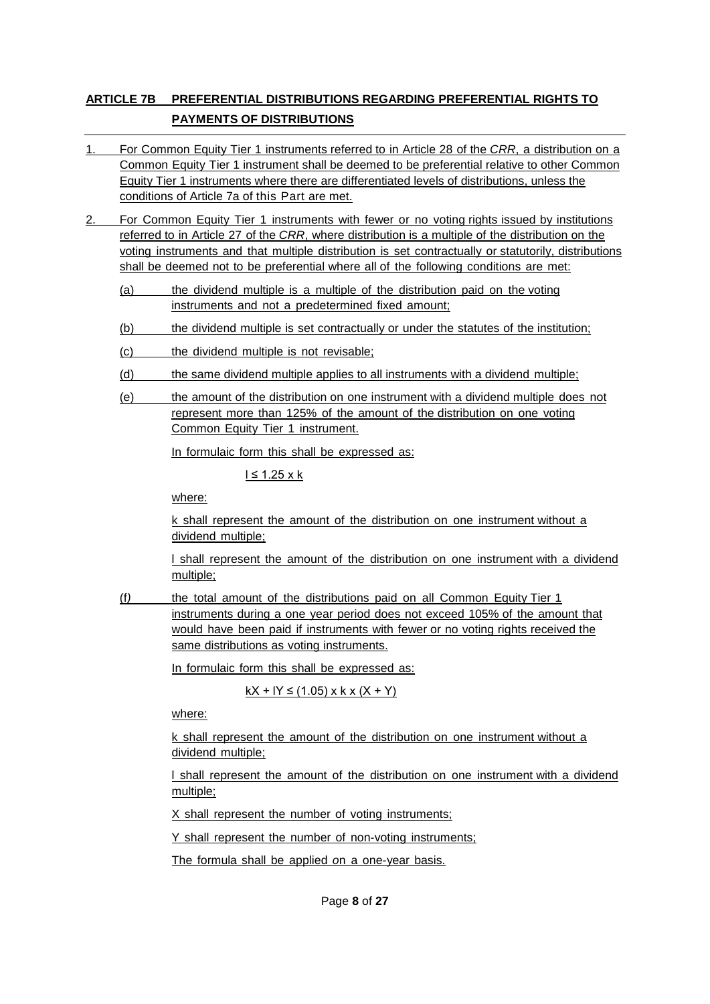### **ARTICLE 7B PREFERENTIAL DISTRIBUTIONS REGARDING PREFERENTIAL RIGHTS TO PAYMENTS OF DISTRIBUTIONS**

- 1. For Common Equity Tier 1 instruments referred to in Article 28 of the *CRR*, a distribution on a Common Equity Tier 1 instrument shall be deemed to be preferential relative to other Common Equity Tier 1 instruments where there are differentiated levels of distributions, unless the conditions of Article 7a of this Part are met.
- 2. For Common Equity Tier 1 instruments with fewer or no voting rights issued by institutions referred to in Article 27 of the *CRR*, where distribution is a multiple of the distribution on the voting instruments and that multiple distribution is set contractually or statutorily, distributions shall be deemed not to be preferential where all of the following conditions are met:
	- (a) the dividend multiple is a multiple of the distribution paid on the voting instruments and not a predetermined fixed amount;
	- (b) the dividend multiple is set contractually or under the statutes of the institution;
	- (c) the dividend multiple is not revisable;
	- (d) the same dividend multiple applies to all instruments with a dividend multiple;
	- (e) the amount of the distribution on one instrument with a dividend multiple does not represent more than 125% of the amount of the distribution on one voting Common Equity Tier 1 instrument.

In formulaic form this shall be expressed as:

 $l \leq 1.25 \times k$ 

where:

k shall represent the amount of the distribution on one instrument without a dividend multiple;

l shall represent the amount of the distribution on one instrument with a dividend multiple;

(f*)* the total amount of the distributions paid on all Common Equity Tier 1 instruments during a one year period does not exceed 105% of the amount that would have been paid if instruments with fewer or no voting rights received the same distributions as voting instruments.

In formulaic form this shall be expressed as:

 $kX + IY \le (1.05)$  x k x  $(X + Y)$ 

where:

k shall represent the amount of the distribution on one instrument without a dividend multiple;

l shall represent the amount of the distribution on one instrument with a dividend multiple;

X shall represent the number of voting instruments;

Y shall represent the number of non-voting instruments;

The formula shall be applied *o*n a one-year basis.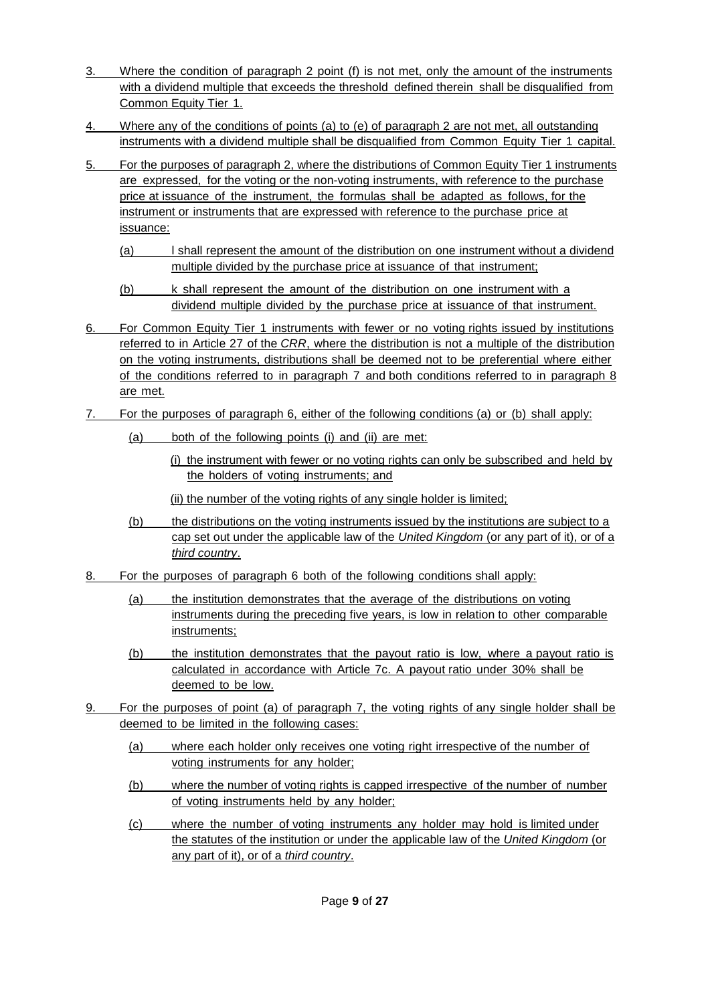- 3. Where the condition of paragraph 2 point (f) is not met, only the amount of the instruments with a dividend multiple that exceeds the threshold defined therein shall be disqualified from Common Equity Tier 1.
- 4. Where any of the conditions of points (a) to (e) of paragraph 2 are not met, all outstanding instruments with a dividend multiple shall be disqualified from Common Equity Tier 1 capital.
- 5. For the purposes of paragraph 2, where the distributions of Common Equity Tier 1 instruments are expressed, for the voting or the non-voting instruments, with reference to the purchase price at issuance of the instrument, the formulas shall be adapted as follows, for the instrument or instruments that are expressed with reference to the purchase price at issuance:
	- (a) l shall represent the amount of the distribution on one instrument without a dividend multiple divided by the purchase price at issuance of that instrument;
	- (b) k shall represent the amount of the distribution on one instrument with a dividend multiple divided by the purchase price at issuance of that instrument.
- 6. For Common Equity Tier 1 instruments with fewer or no voting rights issued by institutions referred to in Article 27 of the *CRR*, where the distribution is not a multiple of the distribution on the voting instruments, distributions shall be deemed not to be preferential where either of the conditions referred to in paragraph 7 and both conditions referred to in paragraph 8 are met.
- 7. For the purposes of paragraph 6, either of the following conditions (a) or (b) shall apply:
	- (a) both of the following points (i) and (ii) are met:
		- (i) the instrument with fewer or no voting rights can only be subscribed and held by the holders of voting instruments; and
		- (ii) the number of the voting rights of any single holder is limited;
	- (b) the distributions on the voting instruments issued by the institutions are subject to a cap set out under the applicable law of the *United Kingdom* (or any part of it), or of a *third country*.
- 8. For the purposes of paragraph 6 both of the following conditions shall apply:
	- (a) the institution demonstrates that the average of the distributions on voting instruments during the preceding five years, is low in relation to other comparable instruments;
	- (b) the institution demonstrates that the payout ratio is low, where a payout ratio is calculated in accordance with Article 7c. A payout ratio under 30% shall be deemed to be low.
- 9. For the purposes of point (a) of paragraph 7, the voting rights of any single holder shall be deemed to be limited in the following cases:
	- (a) where each holder only receives one voting right irrespective of the number of voting instruments for any holder;
	- (b) where the number of voting rights is capped irrespective of the number of number of voting instruments held by any holder;
	- (c) where the number of voting instruments any holder may hold is limited under the statutes of the institution or under the applicable law of the *United Kingdom* (or any part of it), or of a *third country*.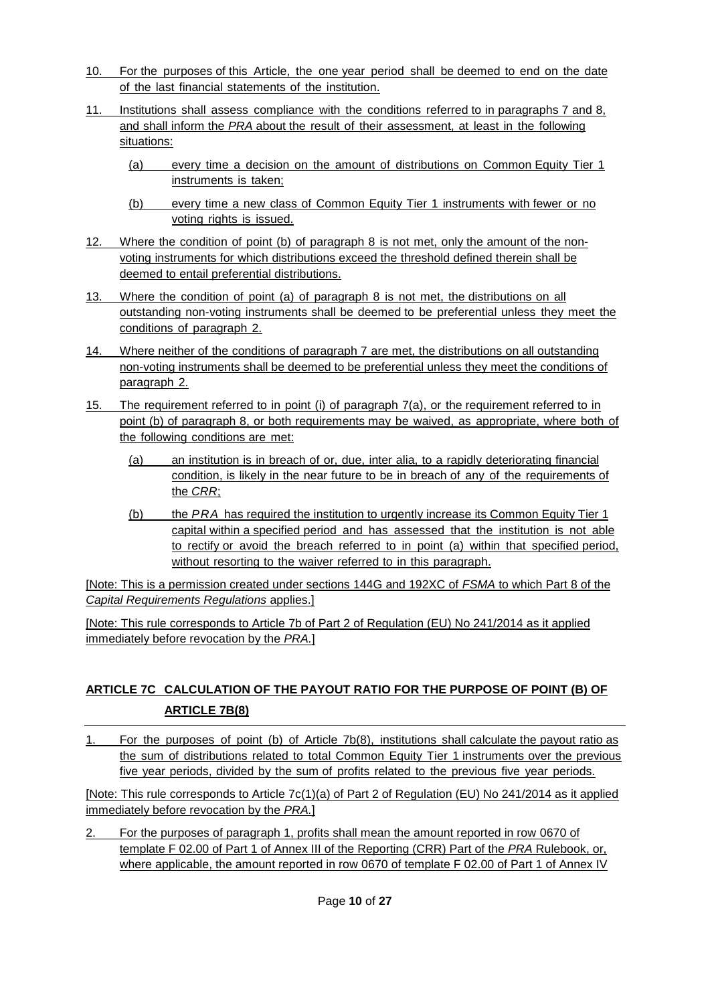- 10. For the purposes of this Article, the one year period shall be deemed to end on the date of the last financial statements of the institution.
- 11. Institutions shall assess compliance with the conditions referred to in paragraphs 7 and 8, and shall inform the *PRA* about the result of their assessment, at least in the following situations:
	- (a) every time a decision on the amount of distributions on Common Equity Tier 1 instruments is taken;
	- (b) every time a new class of Common Equity Tier 1 instruments with fewer or no voting rights is issued.
- 12. Where the condition of point (b) of paragraph 8 is not met, only the amount of the nonvoting instruments for which distributions exceed the threshold defined therein shall be deemed to entail preferential distributions.
- 13. Where the condition of point (a) of paragraph 8 is not met, the distributions on all outstanding non-voting instruments shall be deemed to be preferential unless they meet the conditions of paragraph 2.
- 14. Where neither of the conditions of paragraph 7 are met, the distributions on all outstanding non-voting instruments shall be deemed to be preferential unless they meet the conditions of paragraph 2.
- 15. The requirement referred to in point (i) of paragraph 7(a), or the requirement referred to in point (b) of paragraph 8, or both requirements may be waived, as appropriate, where both of the following conditions are met:
	- (a) an institution is in breach of or, due, inter alia, to a rapidly deteriorating financial condition, is likely in the near future to be in breach of any of the requirements of the *CRR*;
	- (b) the *PRA* has required the institution to urgently increase its Common Equity Tier 1 capital within a specified period and has assessed that the institution is not able to rectify or avoid the breach referred to in point (a) within that specified period, without resorting to the waiver referred to in this paragraph.

[Note: This is a permission created under sections 144G and 192XC of *FSMA* to which Part 8 of the *Capital Requirements Regulations* applies.]

[Note: This rule corresponds to Article 7b of Part 2 of Regulation (EU) No 241/2014 as it applied immediately before revocation by the *PRA.*]

### **ARTICLE 7C CALCULATION OF THE PAYOUT RATIO FOR THE PURPOSE OF POINT (B) OF ARTICLE 7B(8)**

1. For the purposes of point (b) of Article 7b(8), institutions shall calculate the payout ratio as the sum of distributions related to total Common Equity Tier 1 instruments over the previous five year periods, divided by the sum of profits related to the previous five year periods.

[Note: This rule corresponds to Article 7c(1)(a) of Part 2 of Regulation (EU) No 241/2014 as it applied immediately before revocation by the *PRA.*]

2. For the purposes of paragraph 1, profits shall mean the amount reported in row 0670 of template F 02.00 of Part 1 of Annex III of the Reporting (CRR) Part of the *PRA* Rulebook, or, where applicable, the amount reported in row 0670 of template F 02.00 of Part 1 of Annex IV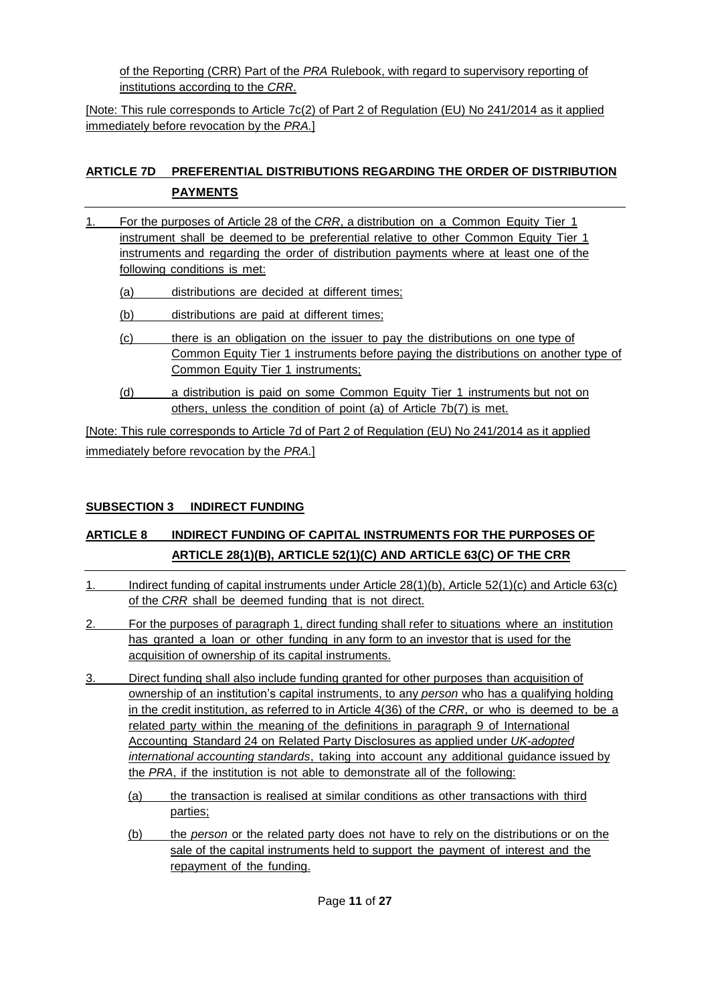of the Reporting (CRR) Part of the *PRA* Rulebook, with regard to supervisory reporting of institutions according to the *CRR*.

[Note: This rule corresponds to Article 7c(2) of Part 2 of Regulation (EU) No 241/2014 as it applied immediately before revocation by the *PRA.*]

# **ARTICLE 7D PREFERENTIAL DISTRIBUTIONS REGARDING THE ORDER OF DISTRIBUTION PAYMENTS**

- 1. For the purposes of Article 28 of the *CRR*, a distribution on a Common Equity Tier 1 instrument shall be deemed to be preferential relative to other Common Equity Tier 1 instruments and regarding the order of distribution payments where at least one of the following conditions is met:
	- (a) distributions are decided at different times;
	- (b) distributions are paid at different times;
	- (c) there is an obligation on the issuer to pay the distributions on one type of Common Equity Tier 1 instruments before paying the distributions on another type of Common Equity Tier 1 instruments;
	- (d) a distribution is paid on some Common Equity Tier 1 instruments but not on others, unless the condition of point (a) of Article 7b(7) is met.

[Note: This rule corresponds to Article 7d of Part 2 of Regulation (EU) No 241/2014 as it applied immediately before revocation by the *PRA.*]

### **SUBSECTION 3 INDIRECT FUNDING**

# **ARTICLE 8 INDIRECT FUNDING OF CAPITAL INSTRUMENTS FOR THE PURPOSES OF ARTICLE 28(1)(B), ARTICLE 52(1)(C) AND ARTICLE 63(C) OF THE CRR**

- 1. Indirect funding of capital instruments under Article 28(1)(b), Article 52(1)(c) and Article 63(c) of the *CRR* shall be deemed funding that is not direct.
- 2. For the purposes of paragraph 1, direct funding shall refer to situations where an institution has granted a loan or other funding in any form to an investor that is used for the acquisition of ownership of its capital instruments.
- 3. Direct funding shall also include funding granted for other purposes than acquisition of ownership of an institution's capital instruments, to any *person* who has a qualifying holding in the credit institution, as referred to in Article 4(36) of the *CRR*, or who is deemed to be a related party within the meaning of the definitions in paragraph 9 of International Accounting Standard 24 on Related Party Disclosures as applied under *UK-adopted international accounting standards*, taking into account any additional guidance issued by the *PRA*, if the institution is not able to demonstrate all of the following:
	- (a) the transaction is realised at similar conditions as other transactions with third parties;
	- (b) the *person* or the related party does not have to rely on the distributions or on the sale of the capital instruments held to support the payment of interest and the repayment of the funding.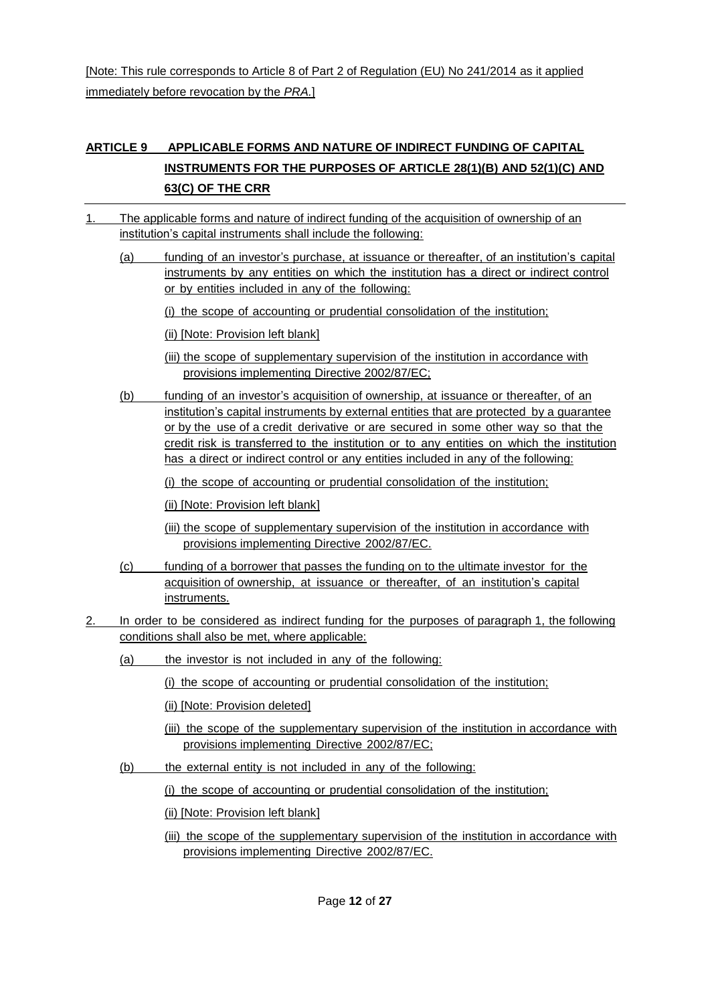[Note: This rule corresponds to Article 8 of Part 2 of Regulation (EU) No 241/2014 as it applied immediately before revocation by the *PRA.*]

## **ARTICLE 9 APPLICABLE FORMS AND NATURE OF INDIRECT FUNDING OF CAPITAL INSTRUMENTS FOR THE PURPOSES OF ARTICLE 28(1)(B) AND 52(1)(C) AND 63(C) OF THE CRR**

- 1. The applicable forms and nature of indirect funding of the acquisition of ownership of an institution's capital instruments shall include the following:
	- (a) funding of an investor's purchase, at issuance or thereafter, of an institution's capital instruments by any entities on which the institution has a direct or indirect control or by entities included in any of the following:
		- (i) the scope of accounting or prudential consolidation of the institution;
		- (ii) [Note: Provision left blank]
		- (iii) the scope of supplementary supervision of the institution in accordance with provisions implementing Directive 2002/87/EC;
	- (b) funding of an investor's acquisition of ownership, at issuance or thereafter, of an institution's capital instruments by external entities that are protected by a guarantee or by the use of a credit derivative or are secured in some other way so that the credit risk is transferred to the institution or to any entities on which the institution has a direct or indirect control or any entities included in any of the following:
		- (i) the scope of accounting or prudential consolidation of the institution;
		- (ii) [Note: Provision left blank]
		- (iii) the scope of supplementary supervision of the institution in accordance with provisions implementing Directive 2002/87/EC.
	- (c) funding of a borrower that passes the funding on to the ultimate investor for the acquisition of ownership, at issuance or thereafter, of an institution's capital instruments.
- 2. In order to be considered as indirect funding for the purposes of paragraph 1, the following conditions shall also be met, where applicable:
	- (a) the investor is not included in any of the following:
		- (i) the scope of accounting or prudential consolidation of the institution;
		- (ii) [Note: Provision deleted]
		- (iii) the scope of the supplementary supervision of the institution in accordance with provisions implementing Directive 2002/87/EC;
	- (b) the external entity is not included in any of the following:
		- (i) the scope of accounting or prudential consolidation of the institution;

(ii) [Note: Provision left blank]

(iii) the scope of the supplementary supervision of the institution in accordance with provisions implementing Directive 2002/87/EC.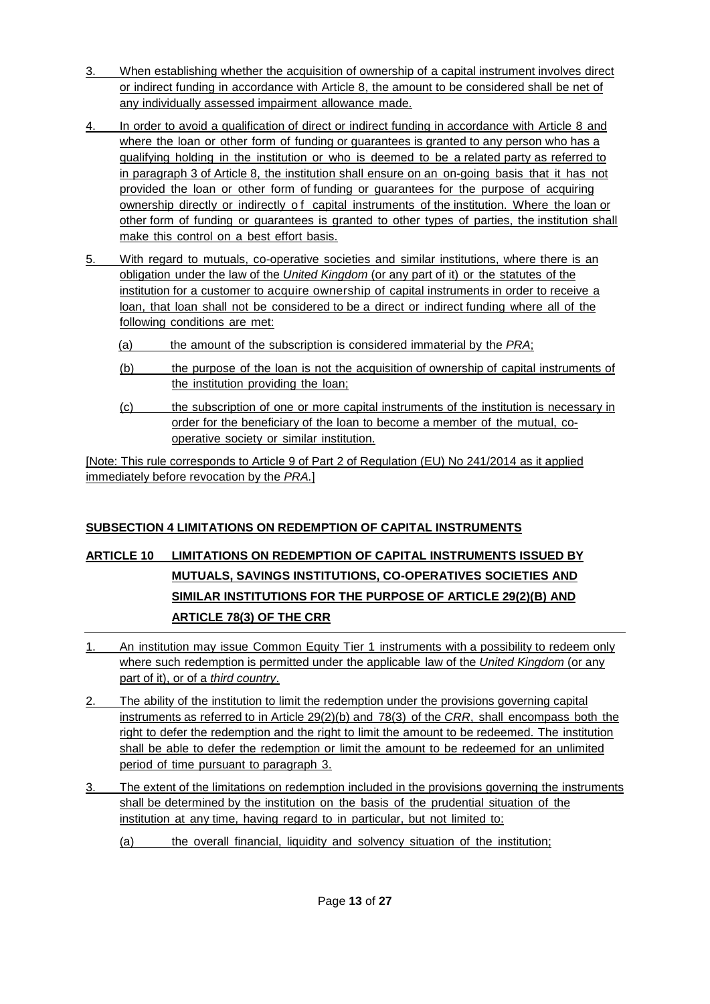- 3. When establishing whether the acquisition of ownership of a capital instrument involves direct or indirect funding in accordance with Article 8, the amount to be considered shall be net of any individually assessed impairment allowance made.
- 4. In order to avoid a qualification of direct or indirect funding in accordance with Article 8 and where the loan or other form of funding or guarantees is granted to any person who has a qualifying holding in the institution or who is deemed to be a related party as referred to in paragraph 3 of Article 8, the institution shall ensure on an on-going basis that it has not provided the loan or other form of funding or guarantees for the purpose of acquiring ownership directly or indirectly of capital instruments of the institution. Where the loan or other form of funding or guarantees is granted to other types of parties, the institution shall make this control on a best effort basis.
- 5. With regard to mutuals, co-operative societies and similar institutions, where there is an obligation under the law of the *United Kingdom* (or any part of it) or the statutes of the institution for a customer to acquire ownership of capital instruments in order to receive a loan, that loan shall not be considered to be a direct or indirect funding where all of the following conditions are met:
	- (a) the amount of the subscription is considered immaterial by the *PRA*;
	- (b) the purpose of the loan is not the acquisition of ownership of capital instruments of the institution providing the loan;
	- (c) the subscription of one or more capital instruments of the institution is necessary in order for the beneficiary of the loan to become a member of the mutual, cooperative society or similar institution.

[Note: This rule corresponds to Article 9 of Part 2 of Regulation (EU) No 241/2014 as it applied immediately before revocation by the *PRA.*]

# **SUBSECTION 4 LIMITATIONS ON REDEMPTION OF CAPITAL INSTRUMENTS**

# **ARTICLE 10 LIMITATIONS ON REDEMPTION OF CAPITAL INSTRUMENTS ISSUED BY MUTUALS, SAVINGS INSTITUTIONS, CO-OPERATIVES SOCIETIES AND SIMILAR INSTITUTIONS FOR THE PURPOSE OF ARTICLE 29(2)(B) AND ARTICLE 78(3) OF THE CRR**

- 1. An institution may issue Common Equity Tier 1 instruments with a possibility to redeem only where such redemption is permitted under the applicable law of the *United Kingdom* (or any part of it), or of a *third country*.
- 2. The ability of the institution to limit the redemption under the provisions governing capital instruments as referred to in Article 29(2)(b) and 78(3) of the *CRR*, shall encompass both the right to defer the redemption and the right to limit the amount to be redeemed. The institution shall be able to defer the redemption or limit the amount to be redeemed for an unlimited period of time pursuant to paragraph 3.
- 3. The extent of the limitations on redemption included in the provisions governing the instruments shall be determined by the institution on the basis of the prudential situation of the institution at any time, having regard to in particular, but not limited to:
	- (a) the overall financial, liquidity and solvency situation of the institution;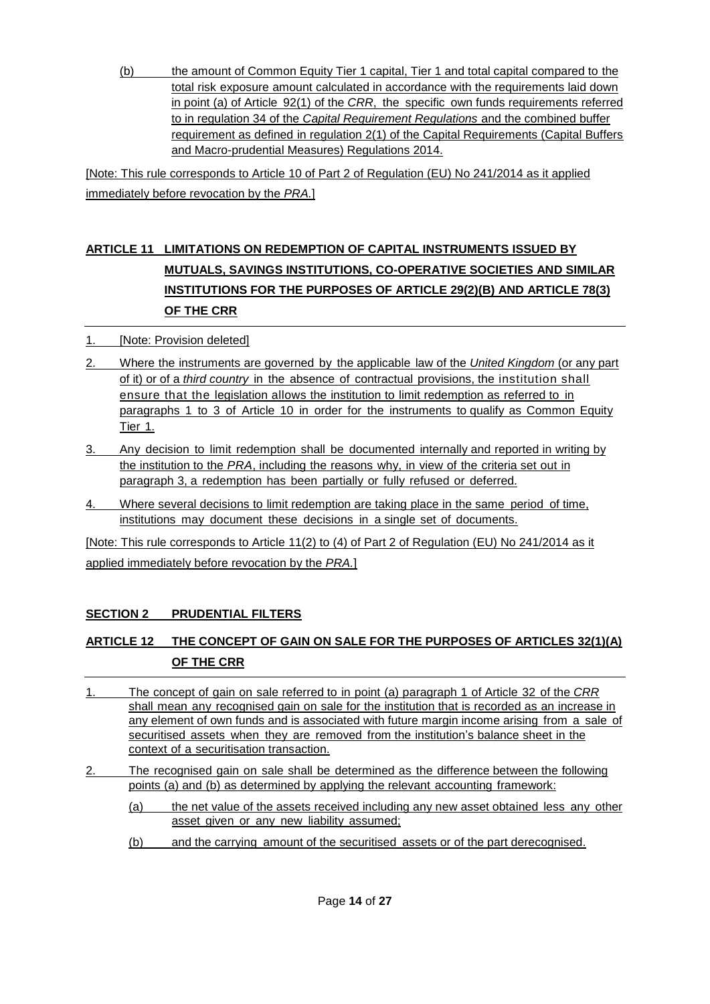(b) the amount of Common Equity Tier 1 capital, Tier 1 and total capital compared to the total risk exposure amount calculated in accordance with the requirements laid down in point (a) of Article 92(1) of the *CRR*, the specific own funds requirements referred to in regulation 34 of the *Capital Requirement Regulations* and the combined buffer requirement as defined in regulation 2(1) of the Capital Requirements (Capital Buffers and Macro-prudential Measures) Regulations 2014.

[Note: This rule corresponds to Article 10 of Part 2 of Regulation (EU) No 241/2014 as it applied immediately before revocation by the *PRA.*]

# **ARTICLE 11 LIMITATIONS ON REDEMPTION OF CAPITAL INSTRUMENTS ISSUED BY MUTUALS, SAVINGS INSTITUTIONS, CO-OPERATIVE SOCIETIES AND SIMILAR INSTITUTIONS FOR THE PURPOSES OF ARTICLE 29(2)(B) AND ARTICLE 78(3) OF THE CRR**

- 1. [Note: Provision deleted]
- 2. Where the instruments are governed by the applicable law of the *United Kingdom* (or any part of it) or of a *third country* in the absence of contractual provisions, the institution shall ensure that the legislation allows the institution to limit redemption as referred to in paragraphs 1 to 3 of Article 10 in order for the instruments to qualify as Common Equity Tier 1.
- 3. Any decision to limit redemption shall be documented internally and reported in writing by the institution to the *PRA*, including the reasons why, in view of the criteria set out in paragraph 3, a redemption has been partially or fully refused or deferred.
- 4. Where several decisions to limit redemption are taking place in the same period of time, institutions may document these decisions in a single set of documents.

[Note: This rule corresponds to Article 11(2) to (4) of Part 2 of Regulation (EU) No 241/2014 as it applied immediately before revocation by the *PRA.*]

### **SECTION 2 PRUDENTIAL FILTERS**

# **ARTICLE 12 THE CONCEPT OF GAIN ON SALE FOR THE PURPOSES OF ARTICLES 32(1)(A) OF THE CRR**

- 1. The concept of gain on sale referred to in point (a) paragraph 1 of Article 32 of the *CRR* shall mean any recognised gain on sale for the institution that is recorded as an increase in any element of own funds and is associated with future margin income arising from a sale of securitised assets when they are removed from the institution's balance sheet in the context of a securitisation transaction.
- 2. The recognised gain on sale shall be determined as the difference between the following points (a) and (b) as determined by applying the relevant accounting framework:
	- (a) the net value of the assets received including any new asset obtained less any other asset given or any new liability assumed;
	- (b) and the carrying amount of the securitised assets or of the part derecognised.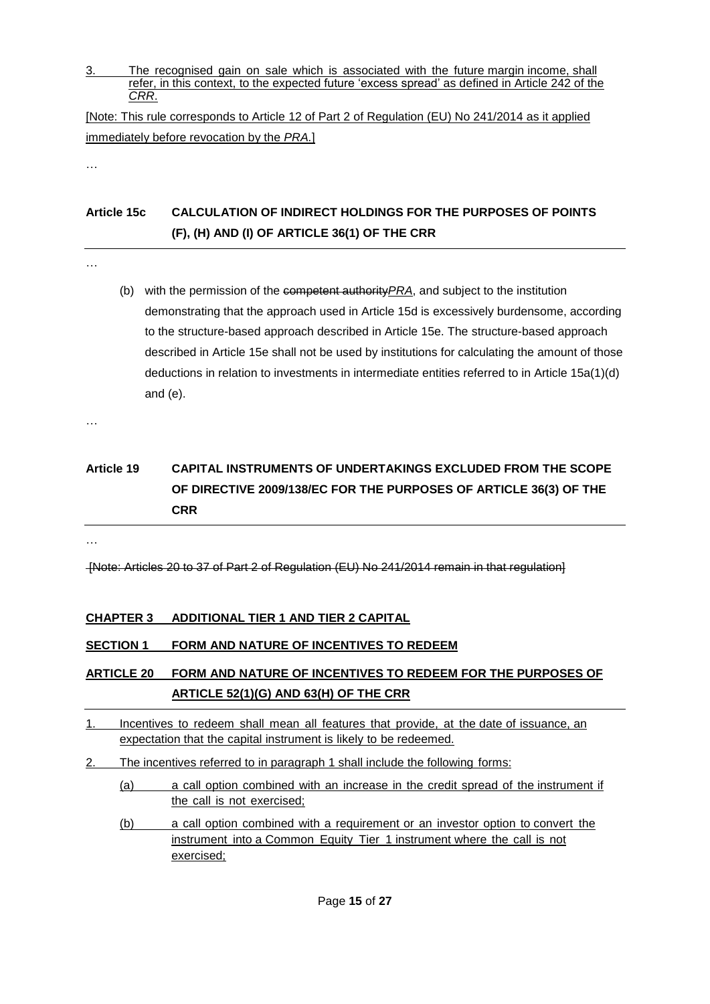3. The recognised gain on sale which is associated with the future margin income, shall refer, in this context, to the expected future 'excess spread' as defined in Article 242 of the *CRR*.

[Note: This rule corresponds to Article 12 of Part 2 of Regulation (EU) No 241/2014 as it applied immediately before revocation by the *PRA.*]

…

### **Article 15c CALCULATION OF INDIRECT HOLDINGS FOR THE PURPOSES OF POINTS (F), (H) AND (I) OF ARTICLE 36(1) OF THE CRR**

…

(b) with the permission of the competent authority*PRA*, and subject to the institution demonstrating that the approach used in Article 15d is excessively burdensome, according to the structure-based approach described in Article 15e. The structure-based approach described in Article 15e shall not be used by institutions for calculating the amount of those deductions in relation to investments in intermediate entities referred to in Article 15a(1)(d) and (e).

…

# **Article 19 CAPITAL INSTRUMENTS OF UNDERTAKINGS EXCLUDED FROM THE SCOPE OF DIRECTIVE 2009/138/EC FOR THE PURPOSES OF ARTICLE 36(3) OF THE CRR**

…

[Note: Articles 20 to 37 of Part 2 of Regulation (EU) No 241/2014 remain in that regulation]

#### **CHAPTER 3 ADDITIONAL TIER 1 AND TIER 2 CAPITAL**

#### **SECTION 1 FORM AND NATURE OF INCENTIVES TO REDEEM**

### **ARTICLE 20 FORM AND NATURE OF INCENTIVES TO REDEEM FOR THE PURPOSES OF ARTICLE 52(1)(G) AND 63(H) OF THE CRR**

- 1. Incentives to redeem shall mean all features that provide, at the date of issuance, an expectation that the capital instrument is likely to be redeemed.
- 2. The incentives referred to in paragraph 1 shall include the following forms:
	- (a) a call option combined with an increase in the credit spread of the instrument if the call is not exercised;
	- (b) a call option combined with a requirement or an investor option to convert the instrument into a Common Equity Tier 1 instrument where the call is not exercised;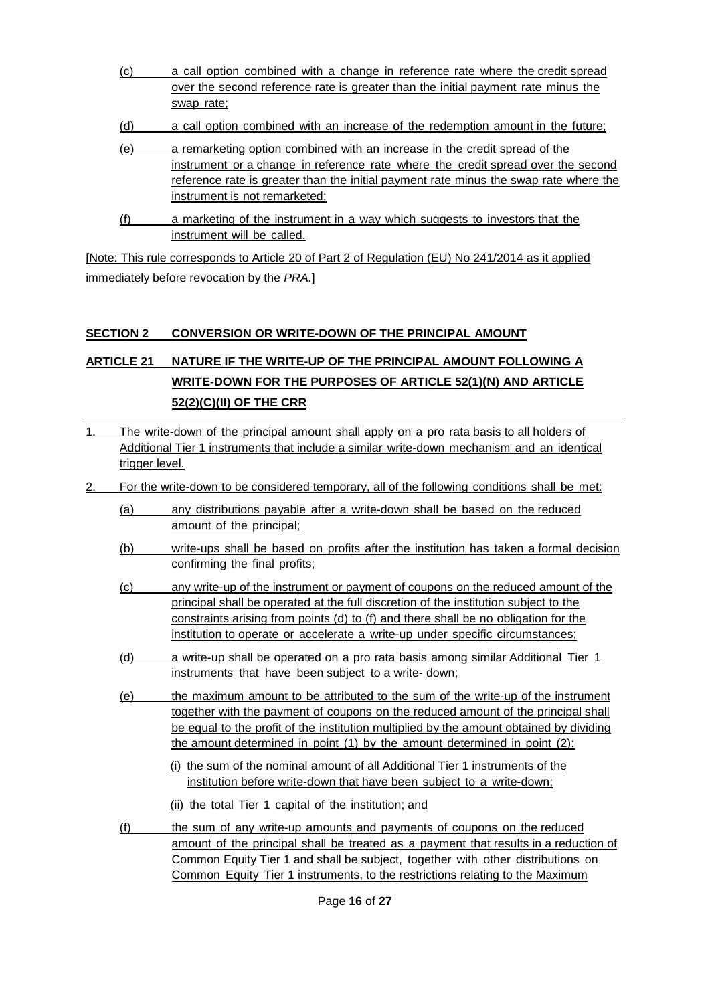- (c) a call option combined with a change in reference rate where the credit spread over the second reference rate is greater than the initial payment rate minus the swap rate;
- (d) a call option combined with an increase of the redemption amount in the future;
- (e) a remarketing option combined with an increase in the credit spread of the instrument or a change in reference rate where the credit spread over the second reference rate is greater than the initial payment rate minus the swap rate where the instrument is not remarketed;
- (f) a marketing of the instrument in a way which suggests to investors that the instrument will be called.

[Note: This rule corresponds to Article 20 of Part 2 of Regulation (EU) No 241/2014 as it applied immediately before revocation by the *PRA.*]

#### **SECTION 2 CONVERSION OR WRITE-DOWN OF THE PRINCIPAL AMOUNT**

## **ARTICLE 21 NATURE IF THE WRITE-UP OF THE PRINCIPAL AMOUNT FOLLOWING A WRITE-DOWN FOR THE PURPOSES OF ARTICLE 52(1)(N) AND ARTICLE 52(2)(C)(II) OF THE CRR**

- 1. The write-down of the principal amount shall apply on a pro rata basis to all holders of Additional Tier 1 instruments that include a similar write-down mechanism and an identical trigger level.
- 2. For the write-down to be considered temporary, all of the following conditions shall be met:
	- (a) any distributions payable after a write-down shall be based on the reduced amount of the principal;
	- (b) write-ups shall be based on profits after the institution has taken a formal decision confirming the final profits;
	- (c) any write-up of the instrument or payment of coupons on the reduced amount of the principal shall be operated at the full discretion of the institution subject to the constraints arising from points (d) to (f) and there shall be no obligation for the institution to operate or accelerate a write-up under specific circumstances;
	- (d) a write-up shall be operated on a pro rata basis among similar Additional Tier 1 instruments that have been subject to a write- down;
	- (e) the maximum amount to be attributed to the sum of the write-up of the instrument together with the payment of coupons on the reduced amount of the principal shall be equal to the profit of the institution multiplied by the amount obtained by dividing the amount determined in point (1) by the amount determined in point (2):
		- (i) the sum of the nominal amount of all Additional Tier 1 instruments of the institution before write-down that have been subject to a write-down;
		- (ii) the total Tier 1 capital of the institution; and
	- (f) the sum of any write-up amounts and payments of coupons on the reduced amount of the principal shall be treated as a payment that results in a reduction of Common Equity Tier 1 and shall be subject, together with other distributions on Common Equity Tier 1 instruments, to the restrictions relating to the Maximum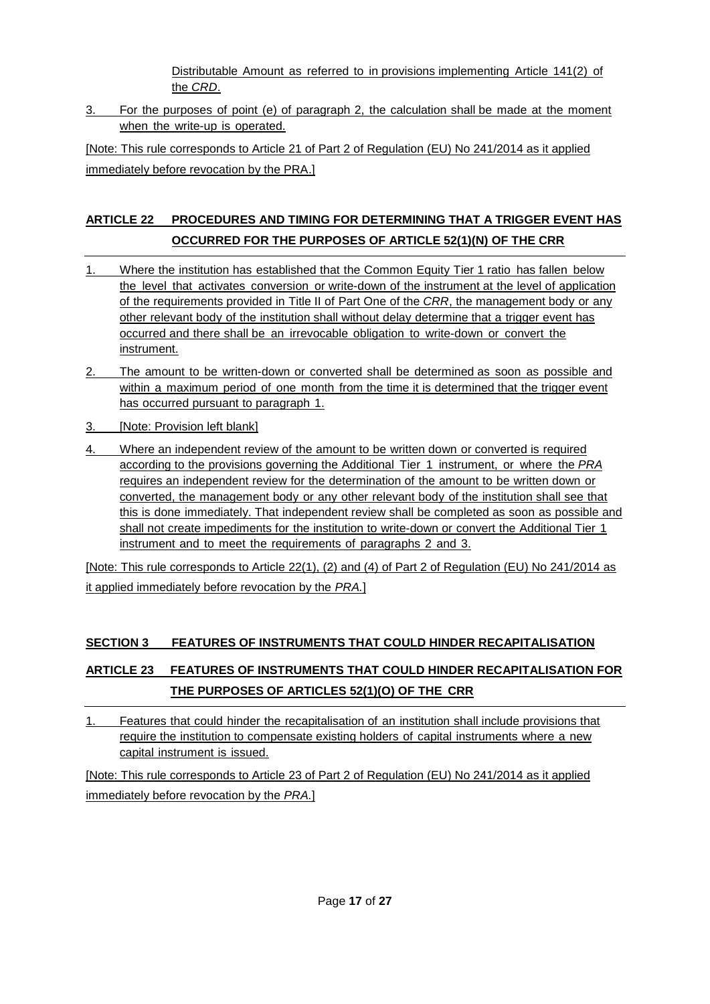Distributable Amount as referred to in provisions implementing Article 141(2) of the *CRD*.

3. For the purposes of point (e) of paragraph 2, the calculation shall be made at the moment when the write-up is operated.

[Note: This rule corresponds to Article 21 of Part 2 of Regulation (EU) No 241/2014 as it applied immediately before revocation by the PRA.]

# **ARTICLE 22 PROCEDURES AND TIMING FOR DETERMINING THAT A TRIGGER EVENT HAS OCCURRED FOR THE PURPOSES OF ARTICLE 52(1)(N) OF THE CRR**

- 1. Where the institution has established that the Common Equity Tier 1 ratio has fallen below the level that activates conversion or write-down of the instrument at the level of application of the requirements provided in Title II of Part One of the *CRR*, the management body or any other relevant body of the institution shall without delay determine that a trigger event has occurred and there shall be an irrevocable obligation to write-down or convert the instrument.
- 2. The amount to be written-down or converted shall be determined as soon as possible and within a maximum period of one month from the time it is determined that the trigger event has occurred pursuant to paragraph 1.
- 3. [Note: Provision left blank]
- 4. Where an independent review of the amount to be written down or converted is required according to the provisions governing the Additional Tier 1 instrument, or where the *PRA* requires an independent review for the determination of the amount to be written down or converted, the management body or any other relevant body of the institution shall see that this is done immediately. That independent review shall be completed as soon as possible and shall not create impediments for the institution to write-down or convert the Additional Tier 1 instrument and to meet the requirements of paragraphs 2 and 3.

[Note: This rule corresponds to Article 22(1), (2) and (4) of Part 2 of Regulation (EU) No 241/2014 as it applied immediately before revocation by the *PRA.*]

### **SECTION 3 FEATURES OF INSTRUMENTS THAT COULD HINDER RECAPITALISATION**

# **ARTICLE 23 FEATURES OF INSTRUMENTS THAT COULD HINDER RECAPITALISATION FOR THE PURPOSES OF ARTICLES 52(1)(O) OF THE CRR**

1. Features that could hinder the recapitalisation of an institution shall include provisions that require the institution to compensate existing holders of capital instruments where a new capital instrument is issued.

[Note: This rule corresponds to Article 23 of Part 2 of Regulation (EU) No 241/2014 as it applied immediately before revocation by the *PRA.*]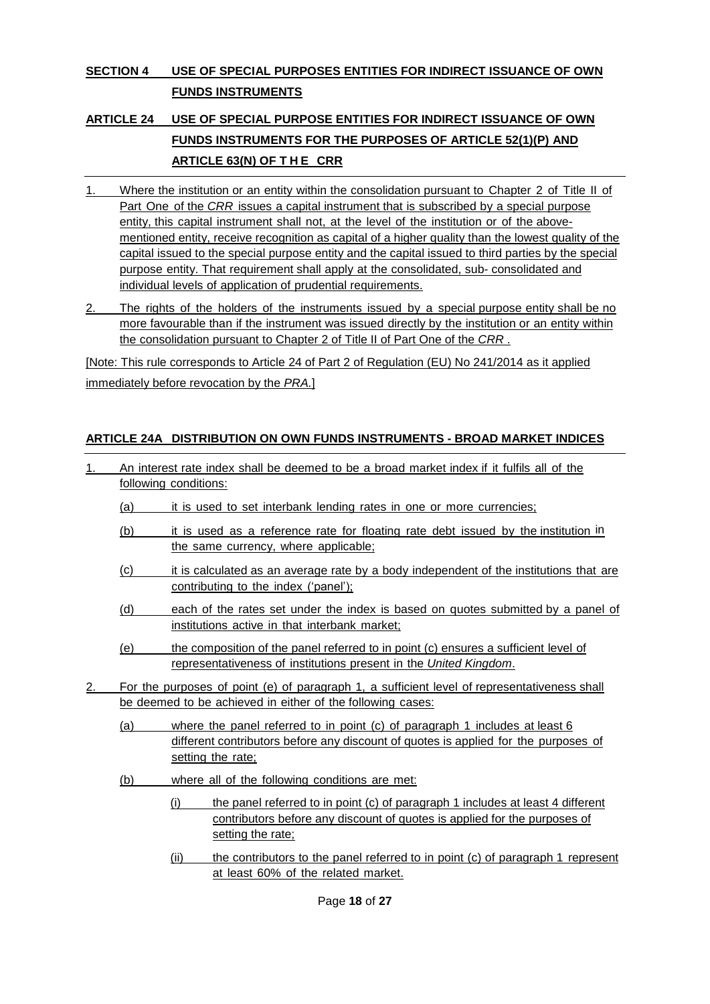### **SECTION 4 USE OF SPECIAL PURPOSES ENTITIES FOR INDIRECT ISSUANCE OF OWN FUNDS INSTRUMENTS**

# **ARTICLE 24 USE OF SPECIAL PURPOSE ENTITIES FOR INDIRECT ISSUANCE OF OWN FUNDS INSTRUMENTS FOR THE PURPOSES OF ARTICLE 52(1)(P) AND ARTICLE 63(N) OF T H E CRR**

- 1. Where the institution or an entity within the consolidation pursuant to Chapter 2 of Title II of Part One of the *CRR* issues a capital instrument that is subscribed by a special purpose entity, this capital instrument shall not, at the level of the institution or of the abovementioned entity, receive recognition as capital of a higher quality than the lowest quality of the capital issued to the special purpose entity and the capital issued to third parties by the special purpose entity. That requirement shall apply at the consolidated, sub- consolidated and individual levels of application of prudential requirements.
- 2. The rights of the holders of the instruments issued by a special purpose entity shall be no more favourable than if the instrument was issued directly by the institution or an entity within the consolidation pursuant to Chapter 2 of Title II of Part One of the *CRR* .

[Note: This rule corresponds to Article 24 of Part 2 of Regulation (EU) No 241/2014 as it applied immediately before revocation by the *PRA.*]

#### **ARTICLE 24A DISTRIBUTION ON OWN FUNDS INSTRUMENTS - BROAD MARKET INDICES**

- 1. An interest rate index shall be deemed to be a broad market index if it fulfils all of the following conditions: (a) it is used to set interbank lending rates in one or more currencies; (b) it is used as a reference rate for floating rate debt issued by the institution in the same currency, where applicable; (c) it is calculated as an average rate by a body independent of the institutions that are contributing to the index ('panel'); (d) each of the rates set under the index is based on quotes submitted by a panel of institutions active in that interbank market; (e) the composition of the panel referred to in point (c) ensures a sufficient level of representativeness of institutions present in the *United Kingdom*. 2. For the purposes of point (e) of paragraph 1, a sufficient level of representativeness shall be deemed to be achieved in either of the following cases: (a) where the panel referred to in point (c) of paragraph 1 includes at least 6 different contributors before any discount of quotes is applied for the purposes of setting the rate; (b) where all of the following conditions are met: (i) the panel referred to in point (c) of paragraph 1 includes at least 4 different contributors before any discount of quotes is applied for the purposes of setting the rate;
	- (ii) the contributors to the panel referred to in point (c) of paragraph 1 represent at least 60% of the related market.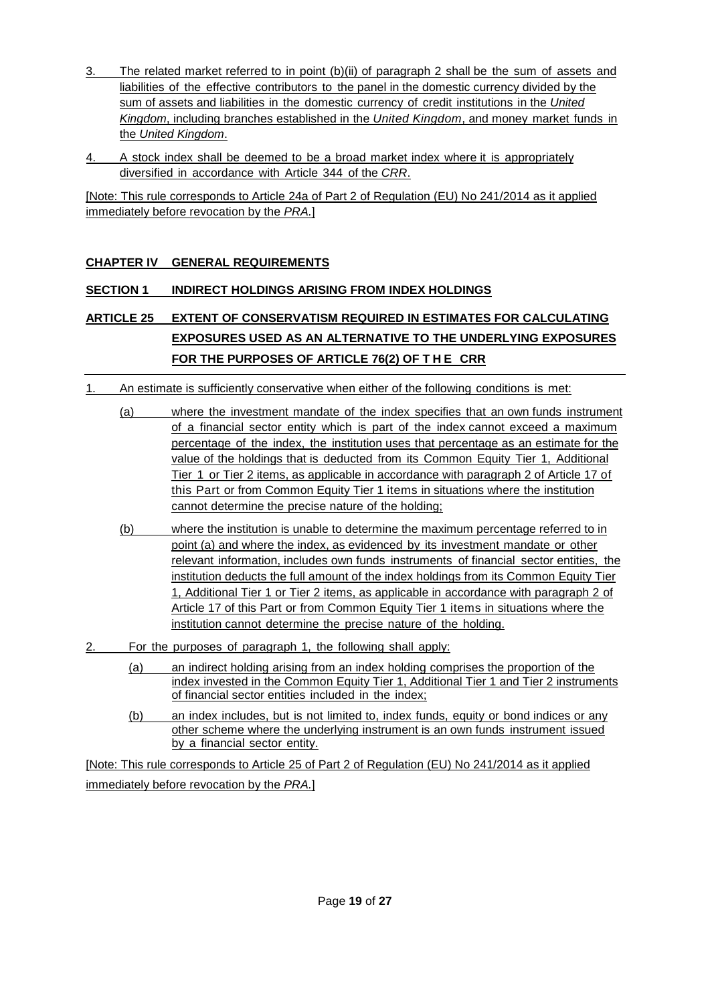- 3. The related market referred to in point (b)(ii) of paragraph 2 shall be the sum of assets and liabilities of the effective contributors to the panel in the domestic currency divided by the sum of assets and liabilities in the domestic currency of credit institutions in the *United Kingdom*, including branches established in the *United Kingdom*, and money market funds in the *United Kingdom*.
- 4. A stock index shall be deemed to be a broad market index where it is appropriately diversified in accordance with Article 344 of the *CRR*.

[Note: This rule corresponds to Article 24a of Part 2 of Regulation (EU) No 241/2014 as it applied immediately before revocation by the *PRA.*]

#### **CHAPTER IV GENERAL REQUIREMENTS**

#### **SECTION 1 INDIRECT HOLDINGS ARISING FROM INDEX HOLDINGS**

## **ARTICLE 25 EXTENT OF CONSERVATISM REQUIRED IN ESTIMATES FOR CALCULATING EXPOSURES USED AS AN ALTERNATIVE TO THE UNDERLYING EXPOSURES FOR THE PURPOSES OF ARTICLE 76(2) OF T H E CRR**

- 1. An estimate is sufficiently conservative when either of the following conditions is met:
	- (a) where the investment mandate of the index specifies that an own funds instrument of a financial sector entity which is part of the index cannot exceed a maximum percentage of the index, the institution uses that percentage as an estimate for the value of the holdings that is deducted from its Common Equity Tier 1, Additional Tier 1 or Tier 2 items, as applicable in accordance with paragraph 2 of Article 17 of this Part or from Common Equity Tier 1 items in situations where the institution cannot determine the precise nature of the holding;
	- (b) where the institution is unable to determine the maximum percentage referred to in point (a) and where the index, as evidenced by its investment mandate or other relevant information, includes own funds instruments of financial sector entities, the institution deducts the full amount of the index holdings from its Common Equity Tier 1, Additional Tier 1 or Tier 2 items, as applicable in accordance with paragraph 2 of Article 17 of this Part or from Common Equity Tier 1 items in situations where the institution cannot determine the precise nature of the holding.
- 2. For the purposes of paragraph 1, the following shall apply:
	- (a) an indirect holding arising from an index holding comprises the proportion of the index invested in the Common Equity Tier 1, Additional Tier 1 and Tier 2 instruments of financial sector entities included in the index;
	- (b) an index includes, but is not limited to, index funds, equity or bond indices or any other scheme where the underlying instrument is an own funds instrument issued by a financial sector entity.

[Note: This rule corresponds to Article 25 of Part 2 of Regulation (EU) No 241/2014 as it applied immediately before revocation by the *PRA.*]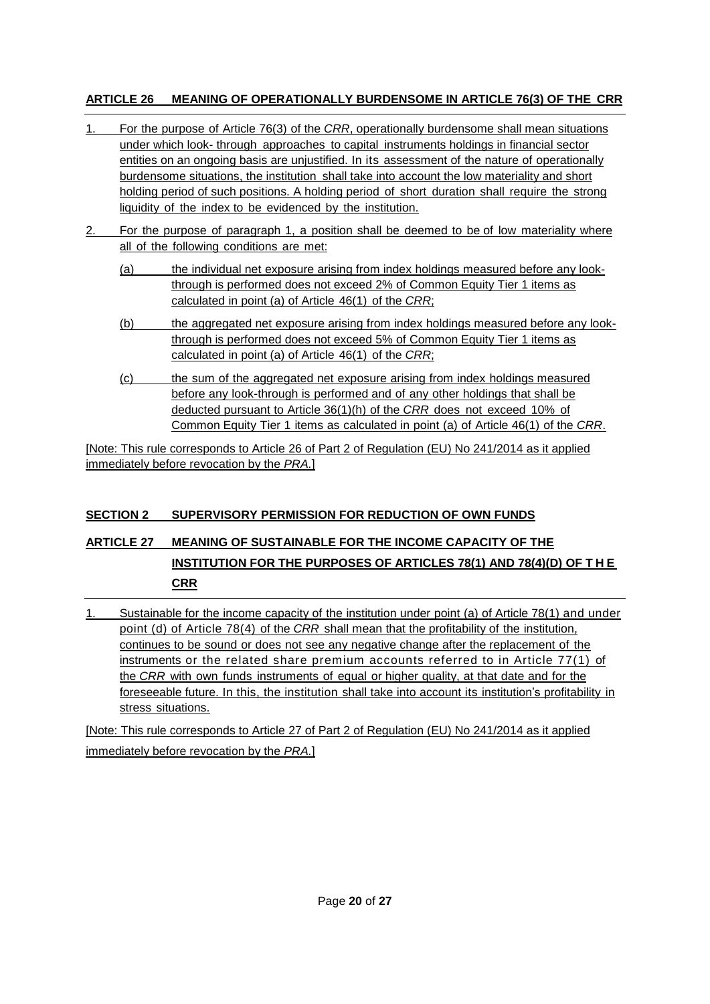#### **ARTICLE 26 MEANING OF OPERATIONALLY BURDENSOME IN ARTICLE 76(3) OF THE CRR**

- 1. For the purpose of Article 76(3) of the *CRR*, operationally burdensome shall mean situations under which look- through approaches to capital instruments holdings in financial sector entities on an ongoing basis are unjustified. In its assessment of the nature of operationally burdensome situations, the institution shall take into account the low materiality and short holding period of such positions. A holding period of short duration shall require the strong liquidity of the index to be evidenced by the institution.
- 2. For the purpose of paragraph 1, a position shall be deemed to be of low materiality where all of the following conditions are met:
	- (a) the individual net exposure arising from index holdings measured before any lookthrough is performed does not exceed 2% of Common Equity Tier 1 items as calculated in point (a) of Article 46(1) of the *CRR*;
	- (b) the aggregated net exposure arising from index holdings measured before any lookthrough is performed does not exceed 5% of Common Equity Tier 1 items as calculated in point (a) of Article 46(1) of the *CRR*;
	- (c) the sum of the aggregated net exposure arising from index holdings measured before any look-through is performed and of any other holdings that shall be deducted pursuant to Article 36(1)(h) of the *CRR* does not exceed 10% of Common Equity Tier 1 items as calculated in point (a) of Article 46(1) of the *CRR*.

[Note: This rule corresponds to Article 26 of Part 2 of Regulation (EU) No 241/2014 as it applied immediately before revocation by the *PRA.*]

### **SECTION 2 SUPERVISORY PERMISSION FOR REDUCTION OF OWN FUNDS**

# **ARTICLE 27 MEANING OF SUSTAINABLE FOR THE INCOME CAPACITY OF THE INSTITUTION FOR THE PURPOSES OF ARTICLES 78(1) AND 78(4)(D) OF T H E CRR**

1. Sustainable for the income capacity of the institution under point (a) of Article 78(1) and under point (d) of Article 78(4) of the *CRR* shall mean that the profitability of the institution, continues to be sound or does not see any negative change after the replacement of the instruments or the related share premium accounts referred to in Article 77(1) of the *CRR* with own funds instruments of equal or higher quality, at that date and for the foreseeable future. In this, the institution shall take into account its institution's profitability in stress situations.

[Note: This rule corresponds to Article 27 of Part 2 of Regulation (EU) No 241/2014 as it applied immediately before revocation by the *PRA.*]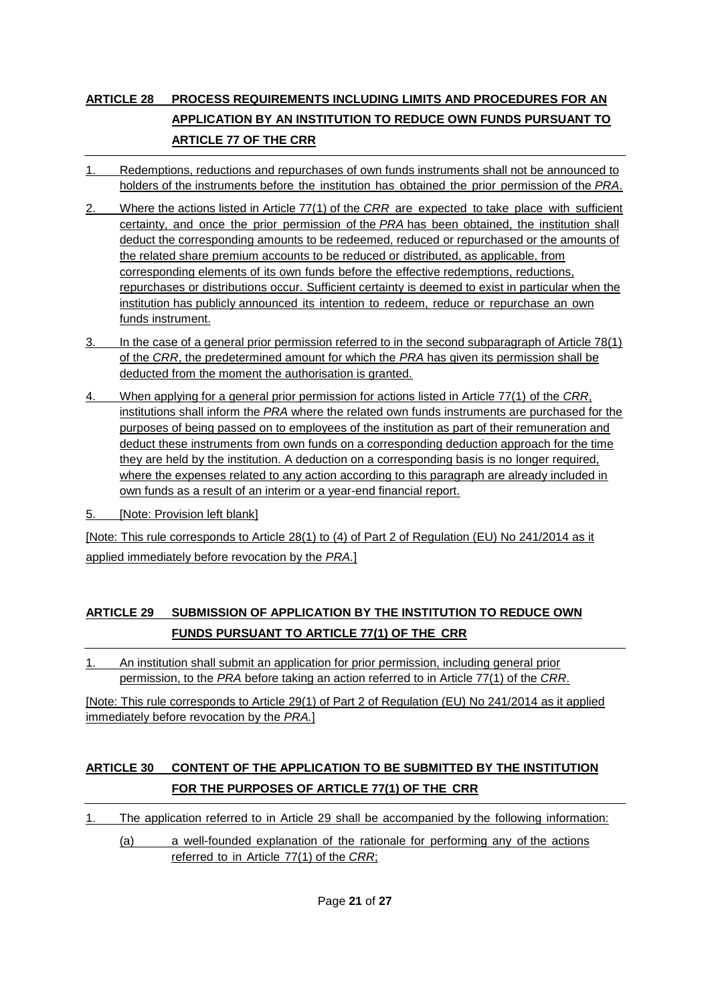# **ARTICLE 28 PROCESS REQUIREMENTS INCLUDING LIMITS AND PROCEDURES FOR AN APPLICATION BY AN INSTITUTION TO REDUCE OWN FUNDS PURSUANT TO ARTICLE 77 OF THE CRR**

- 1. Redemptions, reductions and repurchases of own funds instruments shall not be announced to holders of the instruments before the institution has obtained the prior permission of the *PRA*.
- 2. Where the actions listed in Article 77(1) of the *CRR* are expected to take place with sufficient certainty, and once the prior permission of the *PRA* has been obtained, the institution shall deduct the corresponding amounts to be redeemed, reduced or repurchased or the amounts of the related share premium accounts to be reduced or distributed, as applicable, from corresponding elements of its own funds before the effective redemptions, reductions, repurchases or distributions occur. Sufficient certainty is deemed to exist in particular when the institution has publicly announced its intention to redeem, reduce or repurchase an own funds instrument.
- 3. In the case of a general prior permission referred to in the second subparagraph of Article 78(1) of the *CRR*, the predetermined amount for which the *PRA* has given its permission shall be deducted from the moment the authorisation is granted.
- 4. When applying for a general prior permission for actions listed in Article 77(1) of the *CRR*, institutions shall inform the *PRA* where the related own funds instruments are purchased for the purposes of being passed on to employees of the institution as part of their remuneration and deduct these instruments from own funds on a corresponding deduction approach for the time they are held by the institution. A deduction on a corresponding basis is no longer required, where the expenses related to any action according to this paragraph are already included in own funds as a result of an interim or a year-end financial report.
- 5. [Note: Provision left blank]

[Note: This rule corresponds to Article 28(1) to (4) of Part 2 of Regulation (EU) No 241/2014 as it applied immediately before revocation by the *PRA.*]

### **ARTICLE 29 SUBMISSION OF APPLICATION BY THE INSTITUTION TO REDUCE OWN FUNDS PURSUANT TO ARTICLE 77(1) OF THE CRR**

1. An institution shall submit an application for prior permission, including general prior permission, to the *PRA* before taking an action referred to in Article 77(1) of the *CRR*.

[Note: This rule corresponds to Article 29(1) of Part 2 of Regulation (EU) No 241/2014 as it applied immediately before revocation by the *PRA.*]

### **ARTICLE 30 CONTENT OF THE APPLICATION TO BE SUBMITTED BY THE INSTITUTION FOR THE PURPOSES OF ARTICLE 77(1) OF THE CRR**

- 1. The application referred to in Article 29 shall be accompanied by the following information:
	- (a) a well-founded explanation of the rationale for performing any of the actions referred to in Article 77(1) of the *CRR*;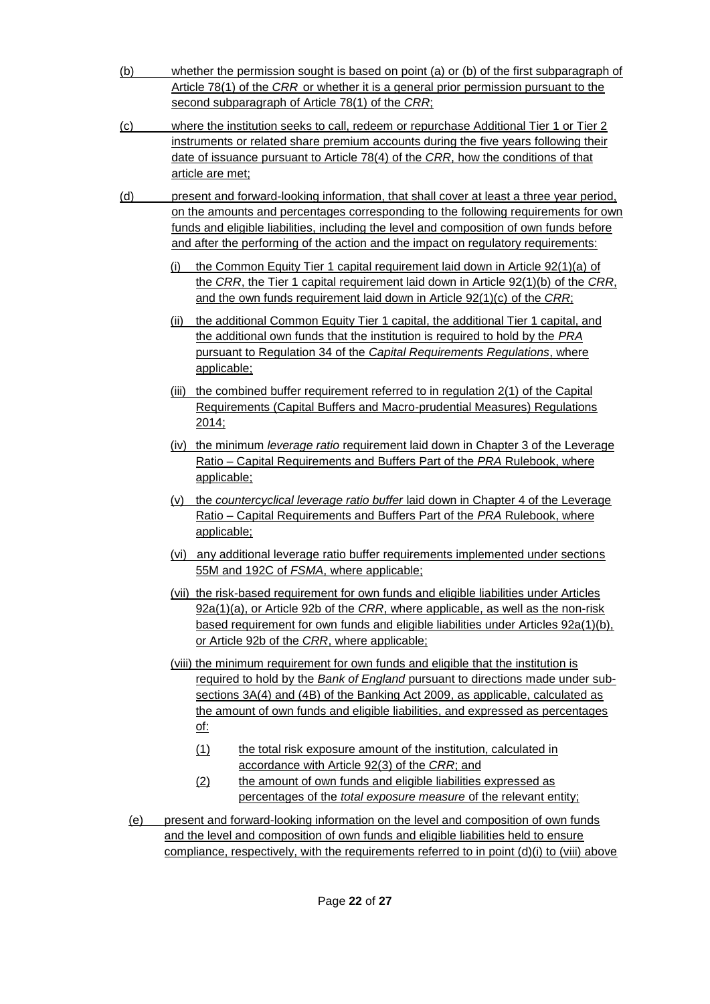- (b) whether the permission sought is based on point (a) or (b) of the first subparagraph of Article 78(1) of the *CRR* or whether it is a general prior permission pursuant to the second subparagraph of Article 78(1) of the *CRR*;
- (c) where the institution seeks to call, redeem or repurchase Additional Tier 1 or Tier 2 instruments or related share premium accounts during the five years following their date of issuance pursuant to Article 78(4) of the *CRR*, how the conditions of that article are met;
- (d) present and forward-looking information, that shall cover at least a three year period, on the amounts and percentages corresponding to the following requirements for own funds and eligible liabilities, including the level and composition of own funds before and after the performing of the action and the impact on regulatory requirements:
	- (i) the Common Equity Tier 1 capital requirement laid down in Article 92(1)(a) of the *CRR*, the Tier 1 capital requirement laid down in Article 92(1)(b) of the *CRR*, and the own funds requirement laid down in Article 92(1)(c) of the *CRR*;
	- (ii) the additional Common Equity Tier 1 capital, the additional Tier 1 capital, and the additional own funds that the institution is required to hold by the *PRA*  pursuant to Regulation 34 of the *Capital Requirements Regulations*, where applicable;
	- (iii) the combined buffer requirement referred to in regulation 2(1) of the Capital Requirements (Capital Buffers and Macro-prudential Measures) Regulations 2014;
	- (iv) the minimum *leverage ratio* requirement laid down in Chapter 3 of the Leverage Ratio – Capital Requirements and Buffers Part of the *PRA* Rulebook, where applicable;
	- (v) the *countercyclical leverage ratio buffer* laid down in Chapter 4 of the Leverage Ratio – Capital Requirements and Buffers Part of the *PRA* Rulebook, where applicable;
	- (vi) any additional leverage ratio buffer requirements implemented under sections 55M and 192C of *FSMA*, where applicable;
	- (vii) the risk-based requirement for own funds and eligible liabilities under Articles 92a(1)(a), or Article 92b of the *CRR*, where applicable, as well as the non-risk based requirement for own funds and eligible liabilities under Articles 92a(1)(b), or Article 92b of the *CRR*, where applicable;
	- (viii) the minimum requirement for own funds and eligible that the institution is required to hold by the *Bank of England* pursuant to directions made under subsections 3A(4) and (4B) of the Banking Act 2009, as applicable, calculated as the amount of own funds and eligible liabilities, and expressed as percentages of:
		- (1) the total risk exposure amount of the institution, calculated in accordance with Article 92(3) of the *CRR*; and
		- (2) the amount of own funds and eligible liabilities expressed as percentages of the *total exposure measure* of the relevant entity;
	- (e) present and forward-looking information on the level and composition of own funds and the level and composition of own funds and eligible liabilities held to ensure compliance, respectively, with the requirements referred to in point  $(d)(i)$  to (viii) above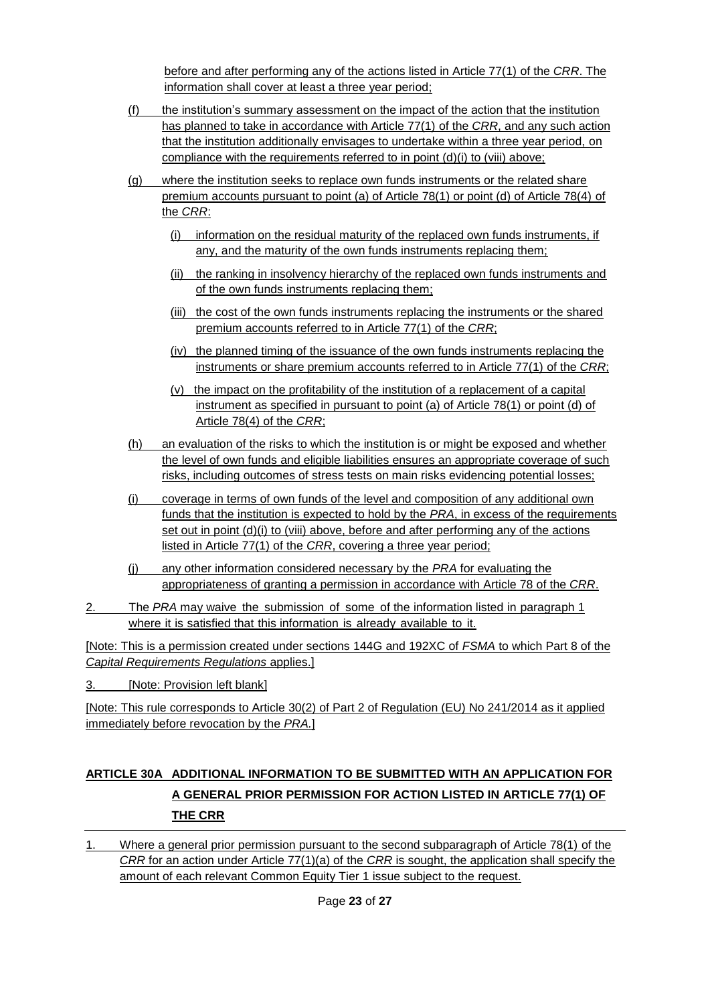before and after performing any of the actions listed in Article 77(1) of the *CRR*. The information shall cover at least a three year period;

- (f) the institution's summary assessment on the impact of the action that the institution has planned to take in accordance with Article 77(1) of the *CRR*, and any such action that the institution additionally envisages to undertake within a three year period, on compliance with the requirements referred to in point (d)(i) to (viii) above;
- (g) where the institution seeks to replace own funds instruments or the related share premium accounts pursuant to point (a) of Article 78(1) or point (d) of Article 78(4) of the *CRR*:
	- (i) information on the residual maturity of the replaced own funds instruments, if any, and the maturity of the own funds instruments replacing them;
	- (ii) the ranking in insolvency hierarchy of the replaced own funds instruments and of the own funds instruments replacing them;
	- (iii) the cost of the own funds instruments replacing the instruments or the shared premium accounts referred to in Article 77(1) of the *CRR*;
	- (iv) the planned timing of the issuance of the own funds instruments replacing the instruments or share premium accounts referred to in Article 77(1) of the *CRR*;
	- (v) the impact on the profitability of the institution of a replacement of a capital instrument as specified in pursuant to point (a) of Article 78(1) or point (d) of Article 78(4) of the *CRR*;
- (h) an evaluation of the risks to which the institution is or might be exposed and whether the level of own funds and eligible liabilities ensures an appropriate coverage of such risks, including outcomes of stress tests on main risks evidencing potential losses;
- (i) coverage in terms of own funds of the level and composition of any additional own funds that the institution is expected to hold by the *PRA*, in excess of the requirements set out in point (d)(i) to (viii) above, before and after performing any of the actions listed in Article 77(1) of the *CRR*, covering a three year period;
- (j) any other information considered necessary by the *PRA* for evaluating the appropriateness of granting a permission in accordance with Article 78 of the *CRR*.
- 2. The *PRA* may waive the submission of some of the information listed in paragraph 1 where it is satisfied that this information is already available to it.

[Note: This is a permission created under sections 144G and 192XC of *FSMA* to which Part 8 of the *Capital Requirements Regulations* applies.]

3. [Note: Provision left blank]

[Note: This rule corresponds to Article 30(2) of Part 2 of Regulation (EU) No 241/2014 as it applied immediately before revocation by the *PRA.*]

# **ARTICLE 30A ADDITIONAL INFORMATION TO BE SUBMITTED WITH AN APPLICATION FOR A GENERAL PRIOR PERMISSION FOR ACTION LISTED IN ARTICLE 77(1) OF THE CRR**

1. Where a general prior permission pursuant to the second subparagraph of Article 78(1) of the *CRR* for an action under Article 77(1)(a) of the *CRR* is sought, the application shall specify the amount of each relevant Common Equity Tier 1 issue subject to the request.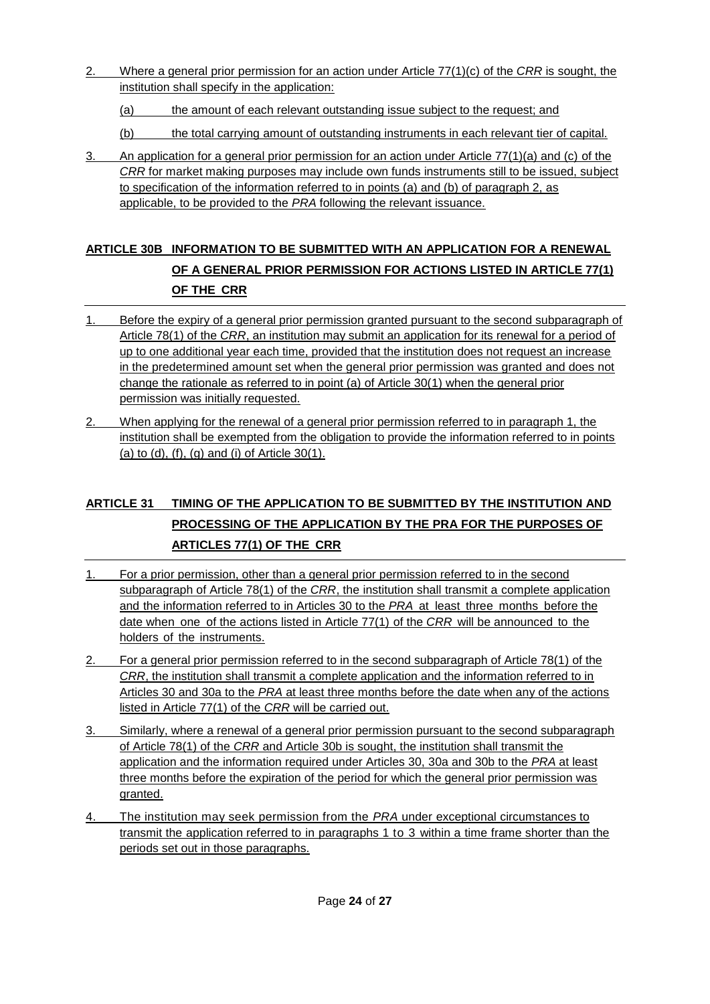- 2. Where a general prior permission for an action under Article 77(1)(c) of the *CRR* is sought, the institution shall specify in the application:
	- (a) the amount of each relevant outstanding issue subject to the request; and
	- (b) the total carrying amount of outstanding instruments in each relevant tier of capital.
- 3. An application for a general prior permission for an action under Article 77(1)(a) and (c) of the *CRR* for market making purposes may include own funds instruments still to be issued, subject to specification of the information referred to in points (a) and (b) of paragraph 2, as applicable, to be provided to the *PRA* following the relevant issuance.

# **ARTICLE 30B INFORMATION TO BE SUBMITTED WITH AN APPLICATION FOR A RENEWAL OF A GENERAL PRIOR PERMISSION FOR ACTIONS LISTED IN ARTICLE 77(1) OF THE CRR**

- 1. Before the expiry of a general prior permission granted pursuant to the second subparagraph of Article 78(1) of the *CRR*, an institution may submit an application for its renewal for a period of up to one additional year each time, provided that the institution does not request an increase in the predetermined amount set when the general prior permission was granted and does not change the rationale as referred to in point (a) of Article 30(1) when the general prior permission was initially requested.
- 2. When applying for the renewal of a general prior permission referred to in paragraph 1, the institution shall be exempted from the obligation to provide the information referred to in points (a) to (d), (f), (g) and (i) of Article 30(1).

# **ARTICLE 31 TIMING OF THE APPLICATION TO BE SUBMITTED BY THE INSTITUTION AND PROCESSING OF THE APPLICATION BY THE PRA FOR THE PURPOSES OF ARTICLES 77(1) OF THE CRR**

- 1. For a prior permission, other than a general prior permission referred to in the second subparagraph of Article 78(1) of the *CRR*, the institution shall transmit a complete application and the information referred to in Articles 30 to the *PRA* at least three months before the date when one of the actions listed in Article 77(1) of the *CRR* will be announced to the holders of the instruments.
- 2. For a general prior permission referred to in the second subparagraph of Article 78(1) of the *CRR*, the institution shall transmit a complete application and the information referred to in Articles 30 and 30a to the *PRA* at least three months before the date when any of the actions listed in Article 77(1) of the *CRR* will be carried out.
- 3. Similarly, where a renewal of a general prior permission pursuant to the second subparagraph of Article 78(1) of the *CRR* and Article 30b is sought, the institution shall transmit the application and the information required under Articles 30, 30a and 30b to the *PRA* at least three months before the expiration of the period for which the general prior permission was granted.
- 4. The institution may seek permission from the *PRA* under exceptional circumstances to transmit the application referred to in paragraphs 1 to 3 within a time frame shorter than the periods set out in those paragraphs.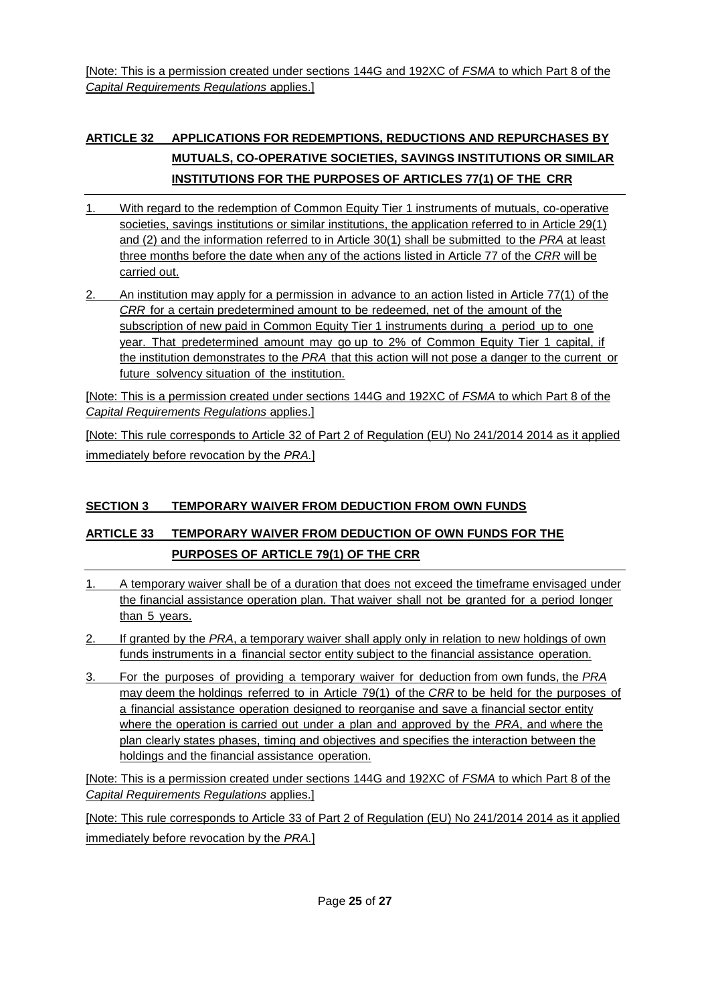[Note: This is a permission created under sections 144G and 192XC of *FSMA* to which Part 8 of the *Capital Requirements Regulations* applies.]

# **ARTICLE 32 APPLICATIONS FOR REDEMPTIONS, REDUCTIONS AND REPURCHASES BY MUTUALS, CO-OPERATIVE SOCIETIES, SAVINGS INSTITUTIONS OR SIMILAR INSTITUTIONS FOR THE PURPOSES OF ARTICLES 77(1) OF THE CRR**

- 1. With regard to the redemption of Common Equity Tier 1 instruments of mutuals, co-operative societies, savings institutions or similar institutions, the application referred to in Article 29(1) and (2) and the information referred to in Article 30(1) shall be submitted to the *PRA* at least three months before the date when any of the actions listed in Article 77 of the *CRR* will be carried out.
- 2. An institution may apply for a permission in advance to an action listed in Article 77(1) of the *CRR* for a certain predetermined amount to be redeemed, net of the amount of the subscription of new paid in Common Equity Tier 1 instruments during a period up to one year. That predetermined amount may go up to 2% of Common Equity Tier 1 capital, if the institution demonstrates to the *PRA* that this action will not pose a danger to the current or future solvency situation of the institution.

[Note: This is a permission created under sections 144G and 192XC of *FSMA* to which Part 8 of the *Capital Requirements Regulations* applies.]

[Note: This rule corresponds to Article 32 of Part 2 of Regulation (EU) No 241/2014 2014 as it applied immediately before revocation by the *PRA.*]

### **SECTION 3 TEMPORARY WAIVER FROM DEDUCTION FROM OWN FUNDS**

# **ARTICLE 33 TEMPORARY WAIVER FROM DEDUCTION OF OWN FUNDS FOR THE PURPOSES OF ARTICLE 79(1) OF THE CRR**

- 1. A temporary waiver shall be of a duration that does not exceed the timeframe envisaged under the financial assistance operation plan. That waiver shall not be granted for a period longer than 5 years.
- 2. If granted by the *PRA*, a temporary waiver shall apply only in relation to new holdings of own funds instruments in a financial sector entity subject to the financial assistance operation.
- 3. For the purposes of providing a temporary waiver for deduction from own funds, the *PRA* may deem the holdings referred to in Article 79(1) of the *CRR* to be held for the purposes of a financial assistance operation designed to reorganise and save a financial sector entity where the operation is carried out under a plan and approved by the *PRA*, and where the plan clearly states phases, timing and objectives and specifies the interaction between the holdings and the financial assistance operation.

[Note: This is a permission created under sections 144G and 192XC of *FSMA* to which Part 8 of the *Capital Requirements Regulations* applies.]

[Note: This rule corresponds to Article 33 of Part 2 of Regulation (EU) No 241/2014 2014 as it applied immediately before revocation by the *PRA.*]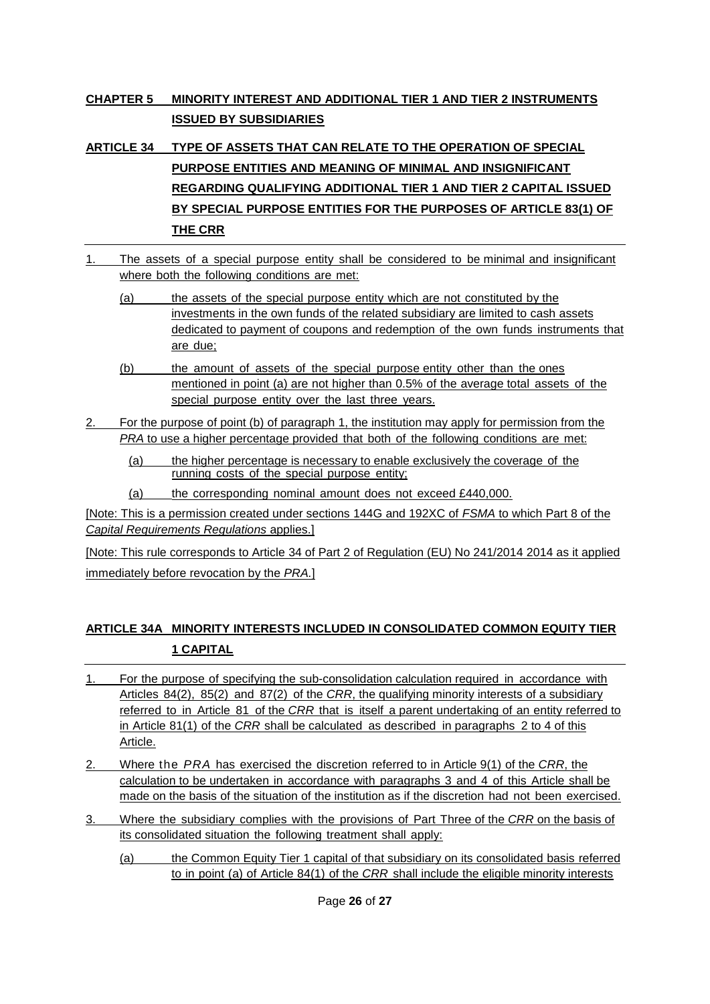### **CHAPTER 5 MINORITY INTEREST AND ADDITIONAL TIER 1 AND TIER 2 INSTRUMENTS ISSUED BY SUBSIDIARIES**

**ARTICLE 34 TYPE OF ASSETS THAT CAN RELATE TO THE OPERATION OF SPECIAL PURPOSE ENTITIES AND MEANING OF MINIMAL AND INSIGNIFICANT REGARDING QUALIFYING ADDITIONAL TIER 1 AND TIER 2 CAPITAL ISSUED BY SPECIAL PURPOSE ENTITIES FOR THE PURPOSES OF ARTICLE 83(1) OF THE CRR**

- 1. The assets of a special purpose entity shall be considered to be minimal and insignificant where both the following conditions are met:
	- (a) the assets of the special purpose entity which are not constituted by the investments in the own funds of the related subsidiary are limited to cash assets dedicated to payment of coupons and redemption of the own funds instruments that are due;
	- (b) the amount of assets of the special purpose entity other than the ones mentioned in point (a) are not higher than 0.5% of the average total assets of the special purpose entity over the last three years.
- 2. For the purpose of point (b) of paragraph 1, the institution may apply for permission from the *PRA* to use a higher percentage provided that both of the following conditions are met:
	- (a) the higher percentage is necessary to enable exclusively the coverage of the running costs of the special purpose entity;
	- (a) the corresponding nominal amount does not exceed £440,000.

[Note: This is a permission created under sections 144G and 192XC of *FSMA* to which Part 8 of the *Capital Requirements Regulations* applies.]

[Note: This rule corresponds to Article 34 of Part 2 of Regulation (EU) No 241/2014 2014 as it applied immediately before revocation by the *PRA.*]

### **ARTICLE 34A MINORITY INTERESTS INCLUDED IN CONSOLIDATED COMMON EQUITY TIER 1 CAPITAL**

- 1. For the purpose of specifying the sub-consolidation calculation required in accordance with Articles 84(2), 85(2) and 87(2) of the *CRR*, the qualifying minority interests of a subsidiary referred to in Article 81 of the *CRR* that is itself a parent undertaking of an entity referred to in Article 81(1) of the *CRR* shall be calculated as described in paragraphs 2 to 4 of this Article.
- 2. Where the *PRA* has exercised the discretion referred to in Article 9(1) of the *CRR*, the calculation to be undertaken in accordance with paragraphs 3 and 4 of this Article shall be made on the basis of the situation of the institution as if the discretion had not been exercised.
- 3. Where the subsidiary complies with the provisions of Part Three of the *CRR* on the basis of its consolidated situation the following treatment shall apply:
	- (a) the Common Equity Tier 1 capital of that subsidiary on its consolidated basis referred to in point (a) of Article 84(1) of the *CRR* shall include the eligible minority interests